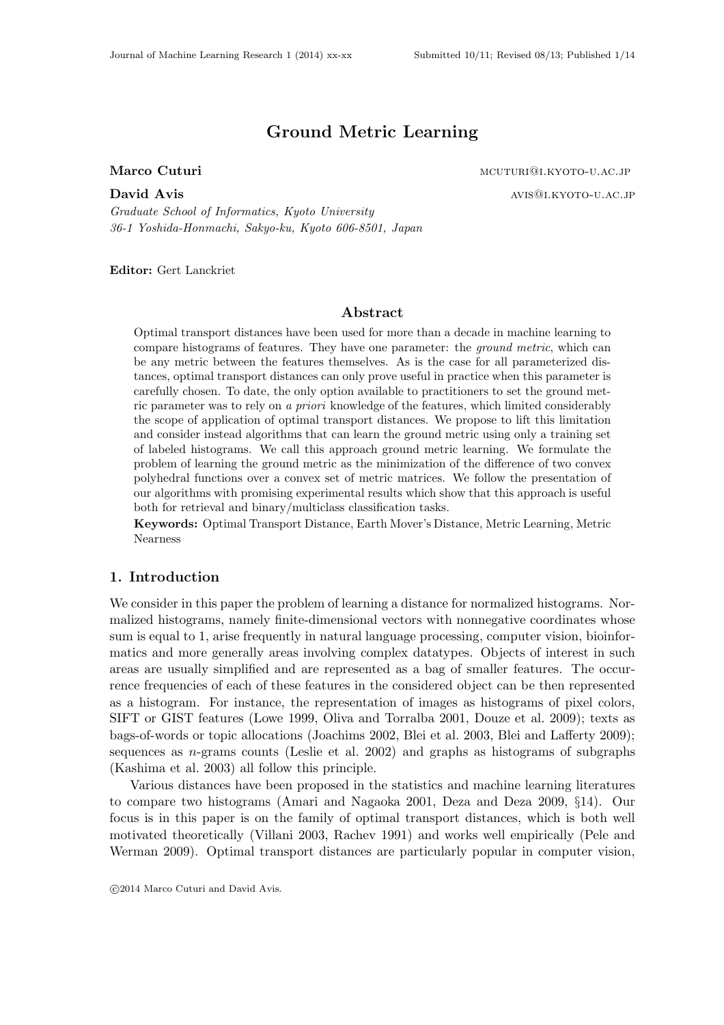# Ground Metric Learning

David Avis avis@i.kyoto-u.ac.jp *Graduate School of Informatics, Kyoto University 36-1 Yoshida-Honmachi, Sakyo-ku, Kyoto 606-8501, Japan*

Editor: Gert Lanckriet

## Abstract

Optimal transport distances have been used for more than a decade in machine learning to compare histograms of features. They have one parameter: the *ground metric*, which can be any metric between the features themselves. As is the case for all parameterized distances, optimal transport distances can only prove useful in practice when this parameter is carefully chosen. To date, the only option available to practitioners to set the ground metric parameter was to rely on *a priori* knowledge of the features, which limited considerably the scope of application of optimal transport distances. We propose to lift this limitation and consider instead algorithms that can learn the ground metric using only a training set of labeled histograms. We call this approach ground metric learning. We formulate the problem of learning the ground metric as the minimization of the difference of two convex polyhedral functions over a convex set of metric matrices. We follow the presentation of our algorithms with promising experimental results which show that this approach is useful both for retrieval and binary/multiclass classification tasks.

Keywords: Optimal Transport Distance, Earth Mover's Distance, Metric Learning, Metric Nearness

#### 1. Introduction

We consider in this paper the problem of learning a distance for normalized histograms. Normalized histograms, namely finite-dimensional vectors with nonnegative coordinates whose sum is equal to 1, arise frequently in natural language processing, computer vision, bioinformatics and more generally areas involving complex datatypes. Objects of interest in such areas are usually simplified and are represented as a bag of smaller features. The occurrence frequencies of each of these features in the considered object can be then represented as a histogram. For instance, the representation of images as histograms of pixel colors, SIFT or GIST features (Lowe 1999, Oliva and Torralba 2001, Douze et al. 2009); texts as bags-of-words or topic allocations (Joachims 2002, Blei et al. 2003, Blei and Lafferty 2009); sequences as  $n$ -grams counts (Leslie et al. 2002) and graphs as histograms of subgraphs (Kashima et al. 2003) all follow this principle.

Various distances have been proposed in the statistics and machine learning literatures to compare two histograms (Amari and Nagaoka 2001, Deza and Deza 2009, §14). Our focus is in this paper is on the family of optimal transport distances, which is both well motivated theoretically (Villani 2003, Rachev 1991) and works well empirically (Pele and Werman 2009). Optimal transport distances are particularly popular in computer vision,

c 2014 Marco Cuturi and David Avis.

Marco Cuturi material material method of the material material material material material material method of the material material material material material material material material material material material material m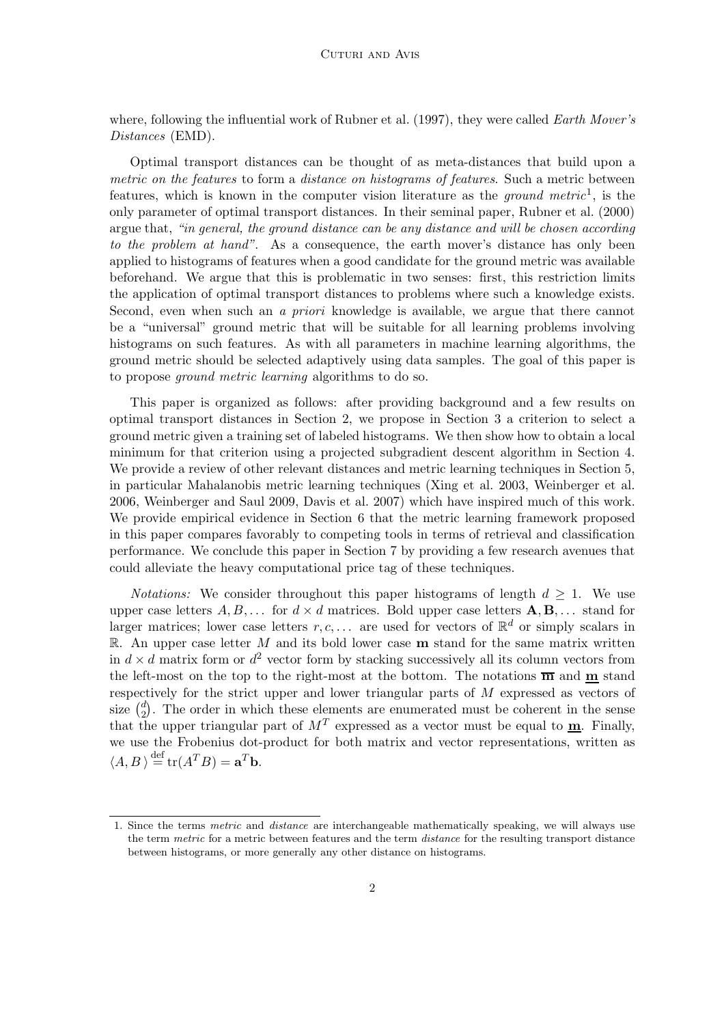where, following the influential work of Rubner et al. (1997), they were called *Earth Mover's Distances* (EMD).

Optimal transport distances can be thought of as meta-distances that build upon a *metric on the features* to form a *distance on histograms of features*. Such a metric between features, which is known in the computer vision literature as the *ground metric*<sup>1</sup> , is the only parameter of optimal transport distances. In their seminal paper, Rubner et al. (2000) argue that, *"in general, the ground distance can be any distance and will be chosen according to the problem at hand"*. As a consequence, the earth mover's distance has only been applied to histograms of features when a good candidate for the ground metric was available beforehand. We argue that this is problematic in two senses: first, this restriction limits the application of optimal transport distances to problems where such a knowledge exists. Second, even when such an *a priori* knowledge is available, we argue that there cannot be a "universal" ground metric that will be suitable for all learning problems involving histograms on such features. As with all parameters in machine learning algorithms, the ground metric should be selected adaptively using data samples. The goal of this paper is to propose *ground metric learning* algorithms to do so.

This paper is organized as follows: after providing background and a few results on optimal transport distances in Section 2, we propose in Section 3 a criterion to select a ground metric given a training set of labeled histograms. We then show how to obtain a local minimum for that criterion using a projected subgradient descent algorithm in Section 4. We provide a review of other relevant distances and metric learning techniques in Section 5, in particular Mahalanobis metric learning techniques (Xing et al. 2003, Weinberger et al. 2006, Weinberger and Saul 2009, Davis et al. 2007) which have inspired much of this work. We provide empirical evidence in Section 6 that the metric learning framework proposed in this paper compares favorably to competing tools in terms of retrieval and classification performance. We conclude this paper in Section 7 by providing a few research avenues that could alleviate the heavy computational price tag of these techniques.

*Notations:* We consider throughout this paper histograms of length  $d \geq 1$ . We use upper case letters  $A, B, \ldots$  for  $d \times d$  matrices. Bold upper case letters  $\mathbf{A}, \mathbf{B}, \ldots$  stand for larger matrices; lower case letters  $r, c, \ldots$  are used for vectors of  $\mathbb{R}^d$  or simply scalars in  $\mathbb{R}$ . An upper case letter M and its bold lower case **m** stand for the same matrix written in  $d \times d$  matrix form or  $d^2$  vector form by stacking successively all its column vectors from the left-most on the top to the right-most at the bottom. The notations  $\overline{m}$  and  $\underline{m}$  stand respectively for the strict upper and lower triangular parts of M expressed as vectors of size  $\binom{d}{2}$  $\binom{d}{2}$ . The order in which these elements are enumerated must be coherent in the sense that the upper triangular part of  $M<sup>T</sup>$  expressed as a vector must be equal to  $\underline{\mathbf{m}}$ . Finally, we use the Frobenius dot-product for both matrix and vector representations, written as  $\langle A, B \rangle \stackrel{\text{def}}{=} \text{tr}(A^T B) = \mathbf{a}^T \mathbf{b}.$ 

<sup>1.</sup> Since the terms metric and distance are interchangeable mathematically speaking, we will always use the term metric for a metric between features and the term *distance* for the resulting transport distance between histograms, or more generally any other distance on histograms.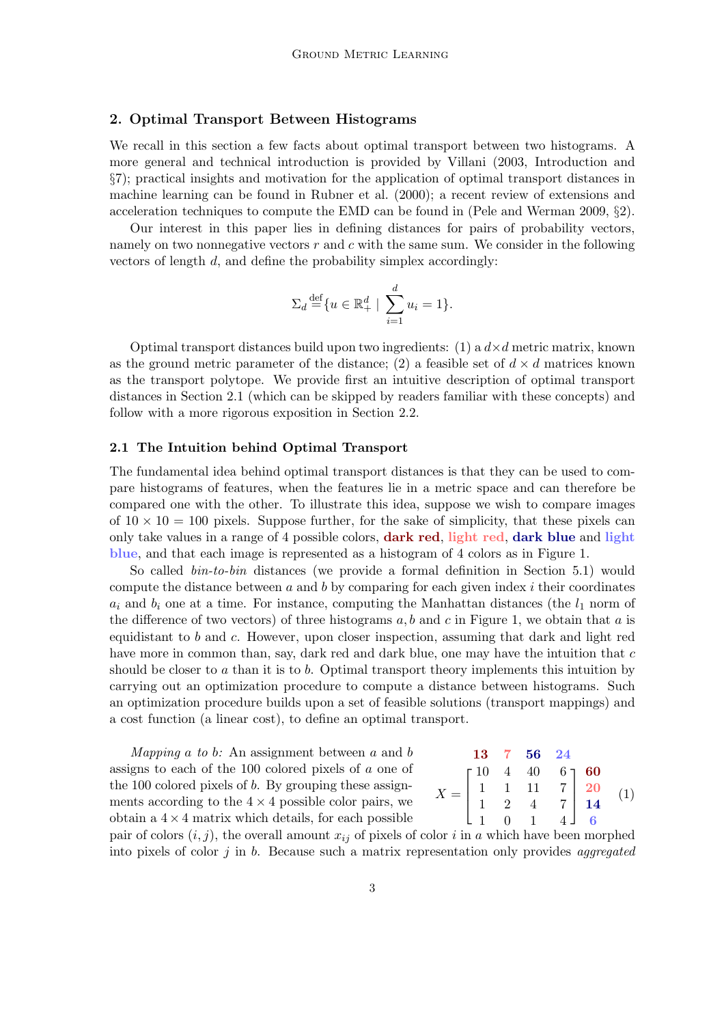## 2. Optimal Transport Between Histograms

We recall in this section a few facts about optimal transport between two histograms. A more general and technical introduction is provided by Villani (2003, Introduction and §7); practical insights and motivation for the application of optimal transport distances in machine learning can be found in Rubner et al. (2000); a recent review of extensions and acceleration techniques to compute the EMD can be found in (Pele and Werman 2009, §2).

Our interest in this paper lies in defining distances for pairs of probability vectors, namely on two nonnegative vectors  $r$  and  $c$  with the same sum. We consider in the following vectors of length d, and define the probability simplex accordingly:

$$
\Sigma_d \stackrel{\text{def}}{=} \{ u \in \mathbb{R}_+^d \mid \sum_{i=1}^d u_i = 1 \}.
$$

Optimal transport distances build upon two ingredients: (1) a  $d \times d$  metric matrix, known as the ground metric parameter of the distance; (2) a feasible set of  $d \times d$  matrices known as the transport polytope. We provide first an intuitive description of optimal transport distances in Section 2.1 (which can be skipped by readers familiar with these concepts) and follow with a more rigorous exposition in Section 2.2.

## 2.1 The Intuition behind Optimal Transport

The fundamental idea behind optimal transport distances is that they can be used to compare histograms of features, when the features lie in a metric space and can therefore be compared one with the other. To illustrate this idea, suppose we wish to compare images of  $10 \times 10 = 100$  pixels. Suppose further, for the sake of simplicity, that these pixels can only take values in a range of 4 possible colors, dark red, light red, dark blue and light blue, and that each image is represented as a histogram of 4 colors as in Figure 1.

So called *bin-to-bin* distances (we provide a formal definition in Section 5.1) would compute the distance between  $a$  and  $b$  by comparing for each given index  $i$  their coordinates  $a_i$  and  $b_i$  one at a time. For instance, computing the Manhattan distances (the  $l_1$  norm of the difference of two vectors) of three histograms  $a, b$  and c in Figure 1, we obtain that a is equidistant to  $b$  and  $c$ . However, upon closer inspection, assuming that dark and light red have more in common than, say, dark red and dark blue, one may have the intuition that c should be closer to a than it is to b. Optimal transport theory implements this intuition by carrying out an optimization procedure to compute a distance between histograms. Such an optimization procedure builds upon a set of feasible solutions (transport mappings) and a cost function (a linear cost), to define an optimal transport.

*Mapping* a *to* b*:* An assignment between a and b assigns to each of the 100 colored pixels of a one of the 100 colored pixels of b. By grouping these assignments according to the  $4 \times 4$  possible color pairs, we obtain a  $4 \times 4$  matrix which details, for each possible

$$
X = \begin{bmatrix} 13 & 7 & 56 & 24 \\ 1 & 4 & 40 & 6 \\ 1 & 1 & 11 & 7 \\ 1 & 2 & 4 & 7 \\ 1 & 0 & 1 & 4 \end{bmatrix} \begin{matrix} 60 \\ 20 \\ 14 \end{matrix} \quad (1)
$$

pair of colors  $(i, j)$ , the overall amount  $x_{ij}$  of pixels of color i in a which have been morphed into pixels of color j in b. Because such a matrix representation only provides *aggregated*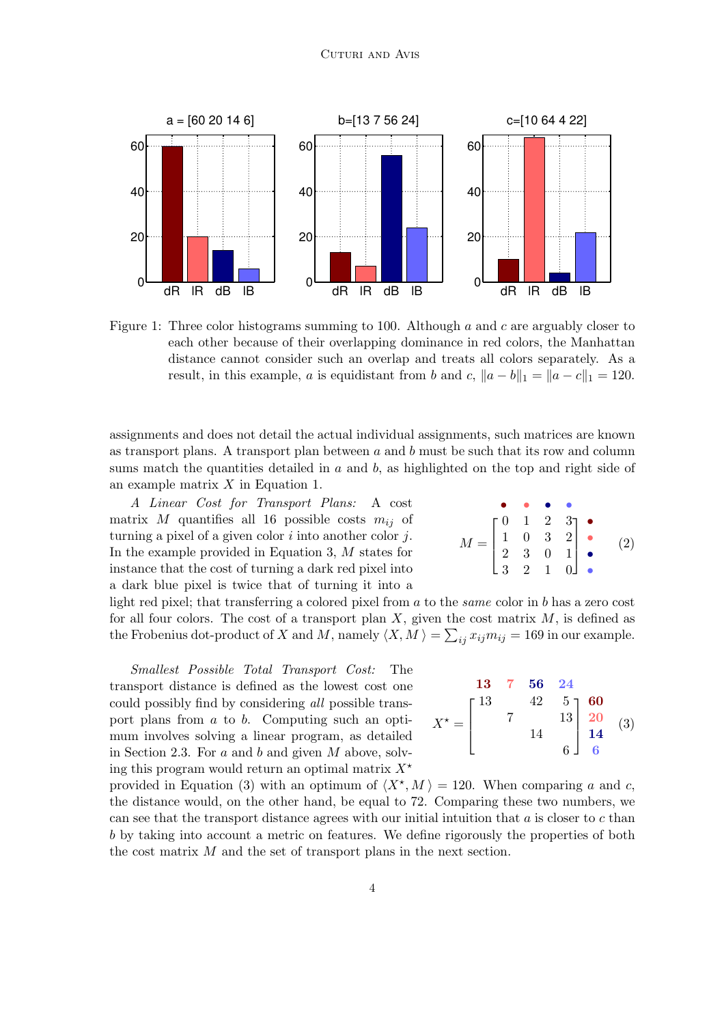

Figure 1: Three color histograms summing to 100. Although a and c are arguably closer to each other because of their overlapping dominance in red colors, the Manhattan distance cannot consider such an overlap and treats all colors separately. As a result, in this example, a is equidistant from b and c,  $||a - b||_1 = ||a - c||_1 = 120$ .

assignments and does not detail the actual individual assignments, such matrices are known as transport plans. A transport plan between  $a$  and  $b$  must be such that its row and column sums match the quantities detailed in  $a$  and  $b$ , as highlighted on the top and right side of an example matrix X in Equation 1.

*A Linear Cost for Transport Plans:* A cost matrix M quantifies all 16 possible costs  $m_{ij}$  of turning a pixel of a given color  $i$  into another color  $j$ . In the example provided in Equation 3, M states for instance that the cost of turning a dark red pixel into a dark blue pixel is twice that of turning it into a

light red pixel; that transferring a colored pixel from a to the *same* color in b has a zero cost for all four colors. The cost of a transport plan  $X$ , given the cost matrix  $M$ , is defined as the Frobenius dot-product of X and M, namely  $\langle X, M \rangle = \sum_{ij} x_{ij} m_{ij} = 169$  in our example.

*Smallest Possible Total Transport Cost:* The transport distance is defined as the lowest cost one could possibly find by considering *all* possible transport plans from a to b. Computing such an optimum involves solving a linear program, as detailed in Section 2.3. For  $a$  and  $b$  and given  $M$  above, solving this program would return an optimal matrix  $X^*$ 

 $X^* =$ 13 7 56 24  $\lceil$  $\overline{\phantom{a}}$  $\frac{5}{13}$  -  $\,$  $\overline{1}$  $\overline{a}$ 13  $42 \t 5 \t 60$  $7 \qquad \qquad 13 \begin{array}{|c|c|} \hline 20 \end{array}$ 14 14 6 6 (3)

provided in Equation (3) with an optimum of  $\langle X^*, M \rangle = 120$ . When comparing a and c, the distance would, on the other hand, be equal to 72. Comparing these two numbers, we can see that the transport distance agrees with our initial intuition that  $a$  is closer to  $c$  than b by taking into account a metric on features. We define rigorously the properties of both the cost matrix M and the set of transport plans in the next section.

$$
M = \begin{bmatrix} 0 & 1 & 2 & 3 \\ 1 & 0 & 3 & 2 \\ 2 & 3 & 0 & 1 \\ 3 & 2 & 1 & 0 \end{bmatrix}
$$
 (2)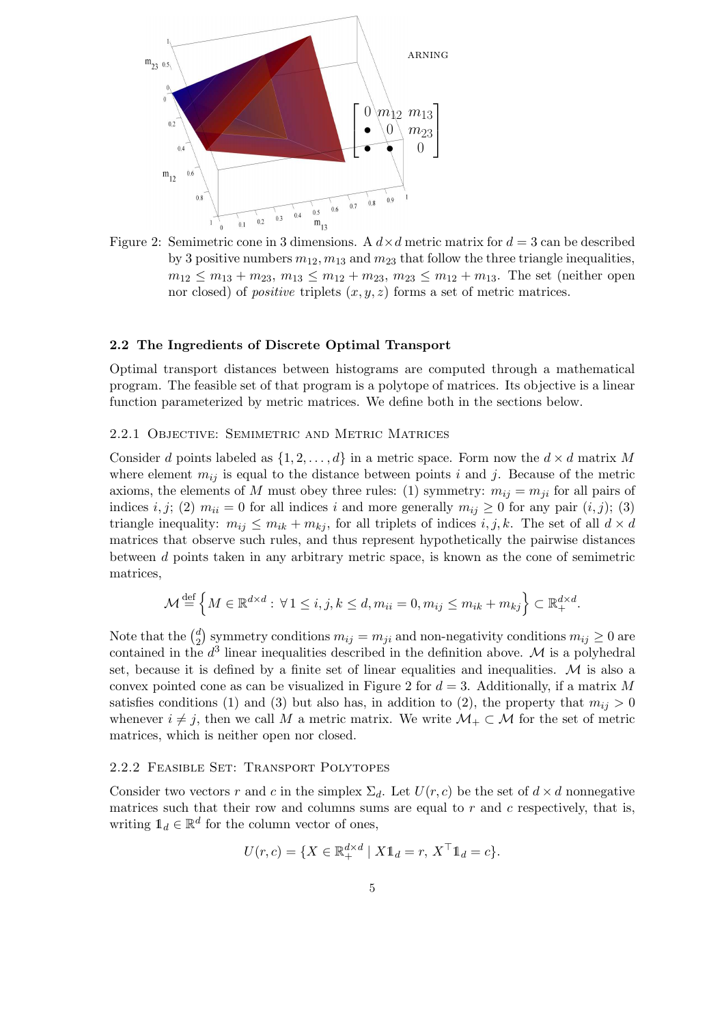

Figure 2: Semimetric cone in 3 dimensions. A  $d \times d$  metric matrix for  $d = 3$  can be described by 3 positive numbers  $m_{12}$ ,  $m_{13}$  and  $m_{23}$  that follow the three triangle inequalities,  $m_{12} \leq m_{13} + m_{23}, m_{13} \leq m_{12} + m_{23}, m_{23} \leq m_{12} + m_{13}$ . The set (neither open nor closed) of *positive* triplets  $(x, y, z)$  forms a set of metric matrices.

## 2.2 The Ingredients of Discrete Optimal Transport

Optimal transport distances between histograms are computed through a mathematical program. The feasible set of that program is a polytope of matrices. Its objective is a linear function parameterized by metric matrices. We define both in the sections below.

### 2.2.1 Objective: Semimetric and Metric Matrices

Consider d points labeled as  $\{1, 2, \ldots, d\}$  in a metric space. Form now the  $d \times d$  matrix M where element  $m_{ij}$  is equal to the distance between points i and j. Because of the metric axioms, the elements of M must obey three rules: (1) symmetry:  $m_{ij} = m_{ji}$  for all pairs of indices i, j; (2)  $m_{ii} = 0$  for all indices i and more generally  $m_{ij} \ge 0$  for any pair  $(i, j)$ ; (3) triangle inequality:  $m_{ij} \leq m_{ik} + m_{kj}$ , for all triplets of indices  $i, j, k$ . The set of all  $d \times d$ matrices that observe such rules, and thus represent hypothetically the pairwise distances between d points taken in any arbitrary metric space, is known as the cone of semimetric matrices,

$$
\mathcal{M} \stackrel{\text{def}}{=} \left\{ M \in \mathbb{R}^{d \times d} : \forall 1 \le i, j, k \le d, m_{ii} = 0, m_{ij} \le m_{ik} + m_{kj} \right\} \subset \mathbb{R}^{d \times d}_{+}.
$$

Note that the  $\binom{d}{2}$ <sup>d</sup>/<sub>2</sub> symmetry conditions  $m_{ij} = m_{ji}$  and non-negativity conditions  $m_{ij} \geq 0$  are contained in the  $d^3$  linear inequalities described in the definition above. M is a polyhedral set, because it is defined by a finite set of linear equalities and inequalities.  $M$  is also a convex pointed cone as can be visualized in Figure 2 for  $d = 3$ . Additionally, if a matrix M satisfies conditions (1) and (3) but also has, in addition to (2), the property that  $m_{ij} > 0$ whenever  $i \neq j$ , then we call M a metric matrix. We write  $\mathcal{M}_+ \subset \mathcal{M}$  for the set of metric matrices, which is neither open nor closed.

### 2.2.2 Feasible Set: Transport Polytopes

Consider two vectors r and c in the simplex  $\Sigma_d$ . Let  $U(r, c)$  be the set of  $d \times d$  nonnegative matrices such that their row and columns sums are equal to  $r$  and  $c$  respectively, that is, writing  $\mathbb{1}_d \in \mathbb{R}^d$  for the column vector of ones,

$$
U(r,c) = \{ X \in \mathbb{R}^{d \times d}_+ \mid X \mathbb{1}_d = r, X^\top \mathbb{1}_d = c \}.
$$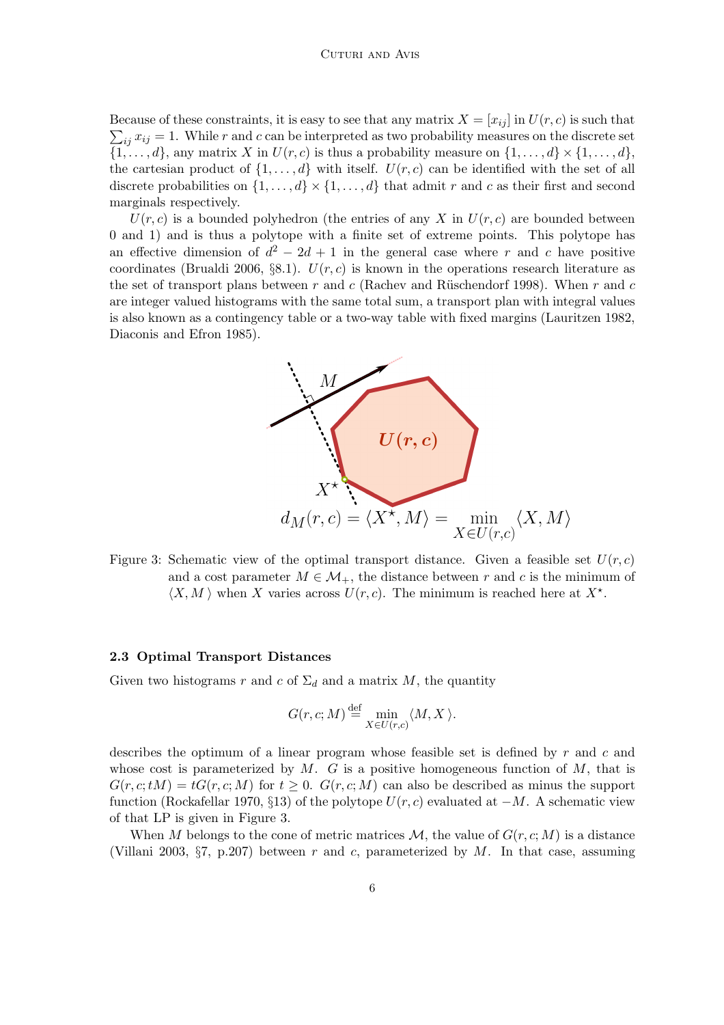$\sum_{ij} x_{ij} = 1$ . While r and c can be interpreted as two probability measures on the discrete set Because of these constraints, it is easy to see that any matrix  $X = [x_{ij}]$  in  $U(r, c)$  is such that  $\{1, \ldots, d\}$ , any matrix X in  $U(r, c)$  is thus a probability measure on  $\{1, \ldots, d\} \times \{1, \ldots, d\}$ , the cartesian product of  $\{1,\ldots,d\}$  with itself.  $U(r, c)$  can be identified with the set of all discrete probabilities on  $\{1, \ldots, d\} \times \{1, \ldots, d\}$  that admit r and c as their first and second marginals respectively.

 $U(r, c)$  is a bounded polyhedron (the entries of any X in  $U(r, c)$ ) are bounded between 0 and 1) and is thus a polytope with a finite set of extreme points. This polytope has an effective dimension of  $d^2 - 2d + 1$  in the general case where r and c have positive coordinates (Brualdi 2006, §8.1).  $U(r, c)$  is known in the operations research literature as the set of transport plans between r and c (Rachev and Rüschendorf 1998). When r and c are integer valued histograms with the same total sum, a transport plan with integral values is also known as a contingency table or a two-way table with fixed margins (Lauritzen 1982, Diaconis and Efron 1985).



Figure 3: Schematic view of the optimal transport distance. Given a feasible set  $U(r, c)$ and a cost parameter  $M \in \mathcal{M}_+$ , the distance between r and c is the minimum of  $\langle X, M \rangle$  when X varies across  $U(r, c)$ . The minimum is reached here at  $X^*$ .

#### 2.3 Optimal Transport Distances

Given two histograms r and c of  $\Sigma_d$  and a matrix M, the quantity

$$
G(r, c; M) \stackrel{\text{def}}{=} \min_{X \in U(r, c)} \langle M, X \rangle.
$$

describes the optimum of a linear program whose feasible set is defined by  $r$  and  $c$  and whose cost is parameterized by  $M$ . G is a positive homogeneous function of  $M$ , that is  $G(r, c; tM) = tG(r, c; M)$  for  $t \geq 0$ .  $G(r, c; M)$  can also be described as minus the support function (Rockafellar 1970, §13) of the polytope  $U(r, c)$  evaluated at  $-M$ . A schematic view of that LP is given in Figure 3.

When M belongs to the cone of metric matrices  $\mathcal{M}$ , the value of  $G(r, c; M)$  is a distance (Villani 2003,  $\S7$ , p.207) between r and c, parameterized by M. In that case, assuming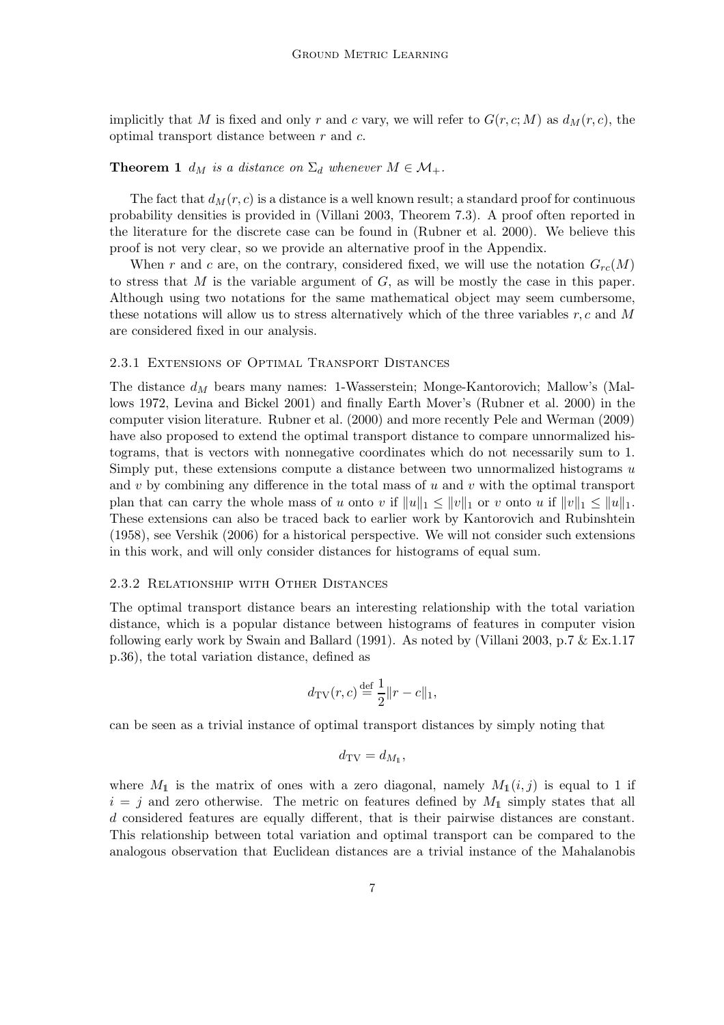implicitly that M is fixed and only r and c vary, we will refer to  $G(r, c; M)$  as  $d_M(r, c)$ , the optimal transport distance between  $r$  and  $c$ .

## **Theorem 1**  $d_M$  *is a distance on*  $\Sigma_d$  *whenever*  $M \in \mathcal{M}_+$ *.*

The fact that  $d_M(r, c)$  is a distance is a well known result; a standard proof for continuous probability densities is provided in (Villani 2003, Theorem 7.3). A proof often reported in the literature for the discrete case can be found in (Rubner et al. 2000). We believe this proof is not very clear, so we provide an alternative proof in the Appendix.

When r and c are, on the contrary, considered fixed, we will use the notation  $G_{rc}(M)$ to stress that  $M$  is the variable argument of  $G$ , as will be mostly the case in this paper. Although using two notations for the same mathematical object may seem cumbersome, these notations will allow us to stress alternatively which of the three variables  $r, c$  and M are considered fixed in our analysis.

#### 2.3.1 Extensions of Optimal Transport Distances

The distance  $d_M$  bears many names: 1-Wasserstein; Monge-Kantorovich; Mallow's (Mallows 1972, Levina and Bickel 2001) and finally Earth Mover's (Rubner et al. 2000) in the computer vision literature. Rubner et al. (2000) and more recently Pele and Werman (2009) have also proposed to extend the optimal transport distance to compare unnormalized histograms, that is vectors with nonnegative coordinates which do not necessarily sum to 1. Simply put, these extensions compute a distance between two unnormalized histograms u and  $v$  by combining any difference in the total mass of  $u$  and  $v$  with the optimal transport plan that can carry the whole mass of u onto v if  $||u||_1 \leq ||u||_1$  or v onto u if  $||v||_1 \leq ||u||_1$ . These extensions can also be traced back to earlier work by Kantorovich and Rubinshtein (1958), see Vershik (2006) for a historical perspective. We will not consider such extensions in this work, and will only consider distances for histograms of equal sum.

#### 2.3.2 Relationship with Other Distances

The optimal transport distance bears an interesting relationship with the total variation distance, which is a popular distance between histograms of features in computer vision following early work by Swain and Ballard (1991). As noted by (Villani 2003, p.7 & Ex.1.17 p.36), the total variation distance, defined as

$$
d_{\mathrm{TV}}(r,c) \stackrel{\mathrm{def}}{=} \frac{1}{2} ||r - c||_1,
$$

can be seen as a trivial instance of optimal transport distances by simply noting that

$$
d_{\mathrm{TV}} = d_{M_1},
$$

where  $M_1$  is the matrix of ones with a zero diagonal, namely  $M_1(i, j)$  is equal to 1 if  $i = j$  and zero otherwise. The metric on features defined by  $M_1$  simply states that all d considered features are equally different, that is their pairwise distances are constant. This relationship between total variation and optimal transport can be compared to the analogous observation that Euclidean distances are a trivial instance of the Mahalanobis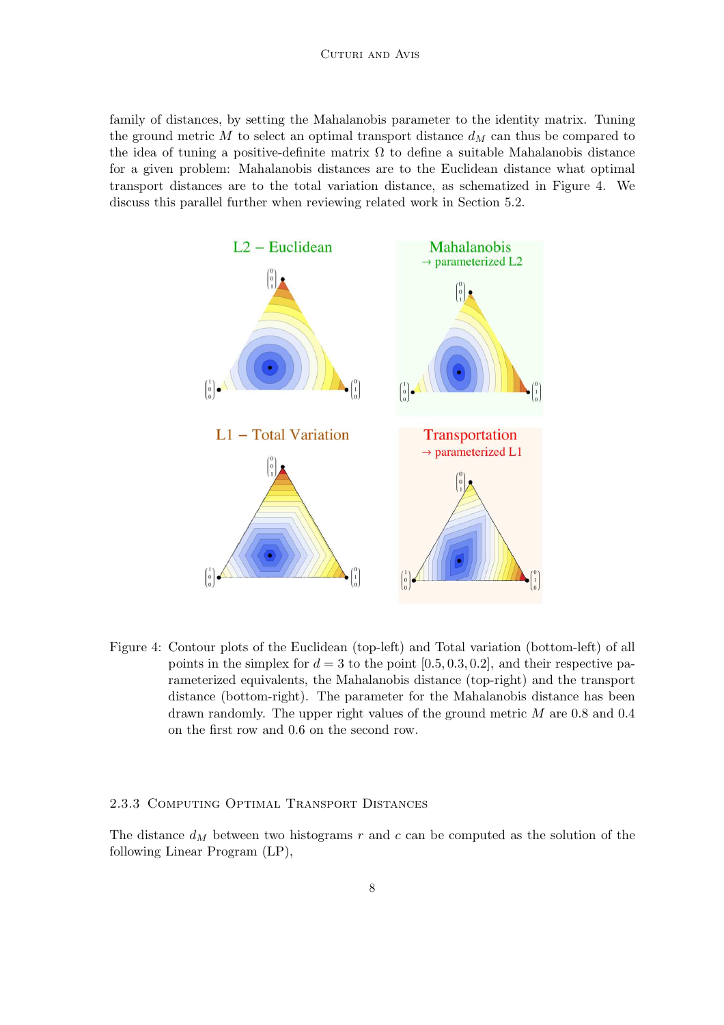#### CUTURI AND AVIS

family of distances, by setting the Mahalanobis parameter to the identity matrix. Tuning the ground metric M to select an optimal transport distance  $d_M$  can thus be compared to the idea of tuning a positive-definite matrix  $\Omega$  to define a suitable Mahalanobis distance for a given problem: Mahalanobis distances are to the Euclidean distance what optimal transport distances are to the total variation distance, as schematized in Figure 4. We discuss this parallel further when reviewing related work in Section 5.2.



Figure 4: Contour plots of the Euclidean (top-left) and Total variation (bottom-left) of all points in the simplex for  $d = 3$  to the point [0.5, 0.3, 0.2], and their respective parameterized equivalents, the Mahalanobis distance (top-right) and the transport distance (bottom-right). The parameter for the Mahalanobis distance has been drawn randomly. The upper right values of the ground metric M are 0.8 and 0.4 on the first row and 0.6 on the second row.

### 2.3.3 Computing Optimal Transport Distances

The distance  $d_M$  between two histograms r and c can be computed as the solution of the following Linear Program (LP),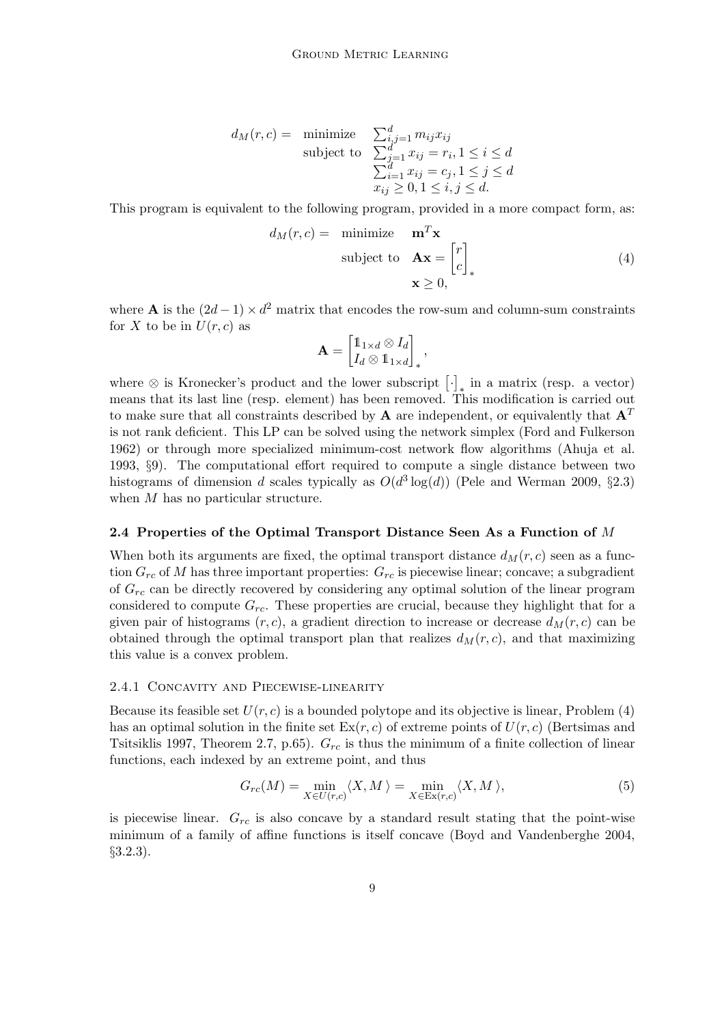$$
d_M(r, c) = \text{minimize} \quad \sum_{i,j=1}^d m_{ij} x_{ij}
$$
  
subject to 
$$
\sum_{j=1}^d x_{ij} = r_i, 1 \le i \le d
$$

$$
\sum_{i=1}^d x_{ij} = c_j, 1 \le j \le d
$$

$$
x_{ij} \ge 0, 1 \le i, j \le d.
$$

This program is equivalent to the following program, provided in a more compact form, as:

$$
d_M(r, c) = \text{minimize } \mathbf{m}^T \mathbf{x} \\ \text{subject to } \mathbf{A} \mathbf{x} = \begin{bmatrix} r \\ c \end{bmatrix}_*
$$
  

$$
\mathbf{x} \ge 0,
$$
 (4)

where **A** is the  $(2d - 1) \times d^2$  matrix that encodes the row-sum and column-sum constraints for X to be in  $U(r, c)$  as

$$
\mathbf{A} = \begin{bmatrix} \mathbb{1}_{1 \times d} \otimes I_d \\ I_d \otimes \mathbb{1}_{1 \times d} \end{bmatrix}_*,
$$

where  $\otimes$  is Kronecker's product and the lower subscript  $[\cdot]_*$  in a matrix (resp. a vector) means that its last line (resp. element) has been removed. This modification is carried out to make sure that all constraints described by **A** are independent, or equivalently that  $A<sup>T</sup>$ is not rank deficient. This LP can be solved using the network simplex (Ford and Fulkerson 1962) or through more specialized minimum-cost network flow algorithms (Ahuja et al. 1993, §9). The computational effort required to compute a single distance between two histograms of dimension d scales typically as  $O(d^3 \log(d))$  (Pele and Werman 2009, §2.3) when M has no particular structure.

#### 2.4 Properties of the Optimal Transport Distance Seen As a Function of M

When both its arguments are fixed, the optimal transport distance  $d_M(r, c)$  seen as a function  $G_{rc}$  of M has three important properties:  $G_{rc}$  is piecewise linear; concave; a subgradient of  $G_{rc}$  can be directly recovered by considering any optimal solution of the linear program considered to compute  $G_{rc}$ . These properties are crucial, because they highlight that for a given pair of histograms  $(r, c)$ , a gradient direction to increase or decrease  $d_M(r, c)$  can be obtained through the optimal transport plan that realizes  $d_M(r, c)$ , and that maximizing this value is a convex problem.

## 2.4.1 Concavity and Piecewise-linearity

Because its feasible set  $U(r, c)$  is a bounded polytope and its objective is linear, Problem (4) has an optimal solution in the finite set  $\text{Ex}(r, c)$  of extreme points of  $U(r, c)$  (Bertsimas and Tsitsiklis 1997, Theorem 2.7, p.65).  $G_{rc}$  is thus the minimum of a finite collection of linear functions, each indexed by an extreme point, and thus

$$
G_{rc}(M) = \min_{X \in U(r,c)} \langle X, M \rangle = \min_{X \in \text{Ex}(r,c)} \langle X, M \rangle,
$$
\n(5)

is piecewise linear.  $G_{rc}$  is also concave by a standard result stating that the point-wise minimum of a family of affine functions is itself concave (Boyd and Vandenberghe 2004, §3.2.3).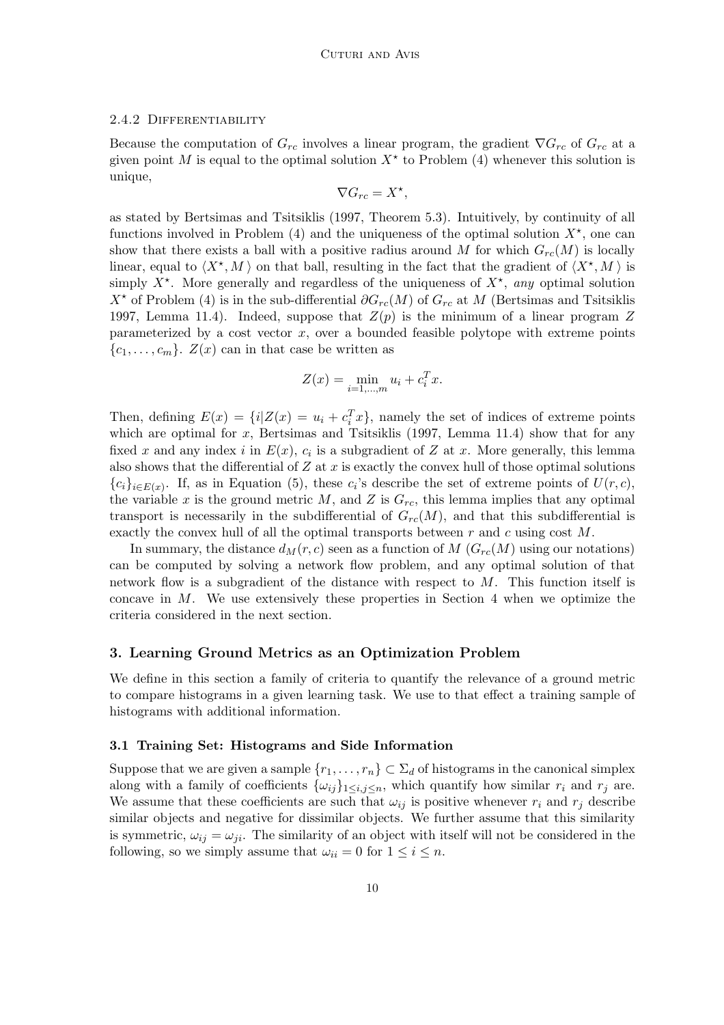#### 2.4.2 Differentiability

Because the computation of  $G_{rc}$  involves a linear program, the gradient  $\nabla G_{rc}$  of  $G_{rc}$  at a given point M is equal to the optimal solution  $X^*$  to Problem (4) whenever this solution is unique,

$$
\nabla G_{rc} = X^*,
$$

as stated by Bertsimas and Tsitsiklis (1997, Theorem 5.3). Intuitively, by continuity of all functions involved in Problem  $(4)$  and the uniqueness of the optimal solution  $X^*$ , one can show that there exists a ball with a positive radius around M for which  $G_{rc}(M)$  is locally linear, equal to  $\langle X^*, M \rangle$  on that ball, resulting in the fact that the gradient of  $\langle X^*, M \rangle$  is simply  $X^*$ . More generally and regardless of the uniqueness of  $X^*$ , *any* optimal solution  $X^*$  of Problem (4) is in the sub-differential  $\partial G_{rc}(M)$  of  $G_{rc}$  at M (Bertsimas and Tsitsiklis 1997, Lemma 11.4). Indeed, suppose that  $Z(p)$  is the minimum of a linear program Z parameterized by a cost vector  $x$ , over a bounded feasible polytope with extreme points  ${c_1, \ldots, c_m}$ .  $Z(x)$  can in that case be written as

$$
Z(x) = \min_{i=1,...,m} u_i + c_i^T x.
$$

Then, defining  $E(x) = \{i | Z(x) = u_i + c_i^T x\}$ , namely the set of indices of extreme points which are optimal for  $x$ , Bertsimas and Tsitsiklis (1997, Lemma 11.4) show that for any fixed x and any index i in  $E(x)$ ,  $c_i$  is a subgradient of Z at x. More generally, this lemma also shows that the differential of  $Z$  at  $x$  is exactly the convex hull of those optimal solutions  ${c_i}_{i \in E(x)}$ . If, as in Equation (5), these  $c_i$ 's describe the set of extreme points of  $U(r, c)$ , the variable x is the ground metric M, and Z is  $G_{rc}$ , this lemma implies that any optimal transport is necessarily in the subdifferential of  $G_{rc}(M)$ , and that this subdifferential is exactly the convex hull of all the optimal transports between  $r$  and  $c$  using cost  $M$ .

In summary, the distance  $d_M(r, c)$  seen as a function of M  $(G_{rc}(M)$  using our notations) can be computed by solving a network flow problem, and any optimal solution of that network flow is a subgradient of the distance with respect to M. This function itself is concave in M. We use extensively these properties in Section 4 when we optimize the criteria considered in the next section.

### 3. Learning Ground Metrics as an Optimization Problem

We define in this section a family of criteria to quantify the relevance of a ground metric to compare histograms in a given learning task. We use to that effect a training sample of histograms with additional information.

## 3.1 Training Set: Histograms and Side Information

Suppose that we are given a sample  $\{r_1, \ldots, r_n\} \subset \Sigma_d$  of histograms in the canonical simplex along with a family of coefficients  $\{\omega_{ij}\}_{1\leq i,j\leq n}$ , which quantify how similar  $r_i$  and  $r_j$  are. We assume that these coefficients are such that  $\omega_{ij}$  is positive whenever  $r_i$  and  $r_j$  describe similar objects and negative for dissimilar objects. We further assume that this similarity is symmetric,  $\omega_{ij} = \omega_{ji}$ . The similarity of an object with itself will not be considered in the following, so we simply assume that  $\omega_{ii} = 0$  for  $1 \leq i \leq n$ .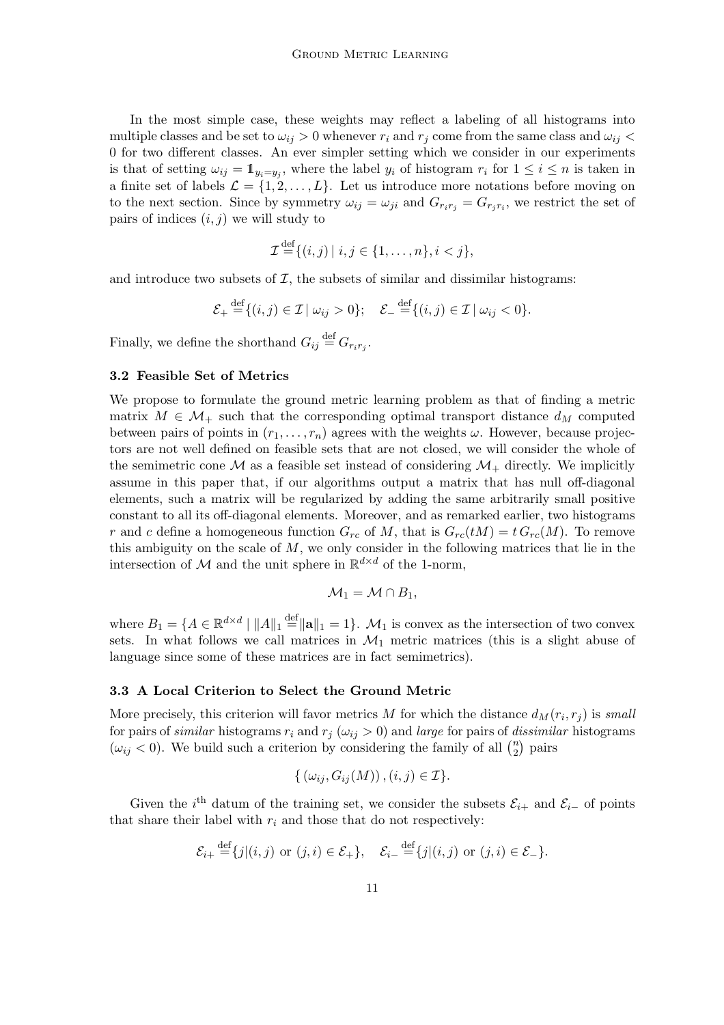In the most simple case, these weights may reflect a labeling of all histograms into multiple classes and be set to  $\omega_{ij} > 0$  whenever  $r_i$  and  $r_j$  come from the same class and  $\omega_{ij} <$ 0 for two different classes. An ever simpler setting which we consider in our experiments is that of setting  $\omega_{ij} = \mathbb{1}_{y_i = y_j}$ , where the label  $y_i$  of histogram  $r_i$  for  $1 \leq i \leq n$  is taken in a finite set of labels  $\mathcal{L} = \{1, 2, \ldots, L\}$ . Let us introduce more notations before moving on to the next section. Since by symmetry  $\omega_{ij} = \omega_{ji}$  and  $G_{r_i r_j} = G_{r_j r_i}$ , we restrict the set of pairs of indices  $(i, j)$  we will study to

$$
\mathcal{I} \stackrel{\text{def}}{=} \{ (i,j) \mid i,j \in \{1,\ldots,n\}, i < j \},
$$

and introduce two subsets of  $I$ , the subsets of similar and dissimilar histograms:

$$
\mathcal{E}_+ \stackrel{\text{def}}{=} \{ (i,j) \in \mathcal{I} \mid \omega_{ij} > 0 \}; \quad \mathcal{E}_- \stackrel{\text{def}}{=} \{ (i,j) \in \mathcal{I} \mid \omega_{ij} < 0 \}.
$$

Finally, we define the shorthand  $G_{ij} \stackrel{\text{def}}{=} G_{r_i r_j}$ .

#### 3.2 Feasible Set of Metrics

We propose to formulate the ground metric learning problem as that of finding a metric matrix  $M \in \mathcal{M}_+$  such that the corresponding optimal transport distance  $d_M$  computed between pairs of points in  $(r_1, \ldots, r_n)$  agrees with the weights  $\omega$ . However, because projectors are not well defined on feasible sets that are not closed, we will consider the whole of the semimetric cone  $\mathcal M$  as a feasible set instead of considering  $\mathcal M_+$  directly. We implicitly assume in this paper that, if our algorithms output a matrix that has null off-diagonal elements, such a matrix will be regularized by adding the same arbitrarily small positive constant to all its off-diagonal elements. Moreover, and as remarked earlier, two histograms r and c define a homogeneous function  $G_{rc}$  of M, that is  $G_{rc}(tM) = t G_{rc}(M)$ . To remove this ambiguity on the scale of  $M$ , we only consider in the following matrices that lie in the intersection of  $\mathcal M$  and the unit sphere in  $\mathbb R^{d \times d}$  of the 1-norm,

$$
\mathcal{M}_1=\mathcal{M}\cap B_1,
$$

where  $B_1 = \{A \in \mathbb{R}^{d \times d} \mid ||A||_1 \stackrel{\text{def}}{=} ||\mathbf{a}||_1 = 1\}$ .  $\mathcal{M}_1$  is convex as the intersection of two convex sets. In what follows we call matrices in  $\mathcal{M}_1$  metric matrices (this is a slight abuse of language since some of these matrices are in fact semimetrics).

#### 3.3 A Local Criterion to Select the Ground Metric

More precisely, this criterion will favor metrics  $M$  for which the distance  $d_M(r_i, r_j)$  is *small* for pairs of *similar* histograms  $r_i$  and  $r_j$  ( $\omega_{ij} > 0$ ) and *large* for pairs of *dissimilar* histograms  $(\omega_{ij} < 0)$ . We build such a criterion by considering the family of all  $\binom{n}{2}$  $\binom{n}{2}$  pairs

$$
\{(\omega_{ij}, G_{ij}(M)), (i,j) \in \mathcal{I}\}.
$$

Given the i<sup>th</sup> datum of the training set, we consider the subsets  $\mathcal{E}_{i+}$  and  $\mathcal{E}_{i-}$  of points that share their label with  $r_i$  and those that do not respectively:

$$
\mathcal{E}_{i+} \stackrel{\text{def}}{=} \{j|(i,j) \text{ or } (j,i) \in \mathcal{E}_+\}, \quad \mathcal{E}_{i-} \stackrel{\text{def}}{=} \{j|(i,j) \text{ or } (j,i) \in \mathcal{E}_-\}.
$$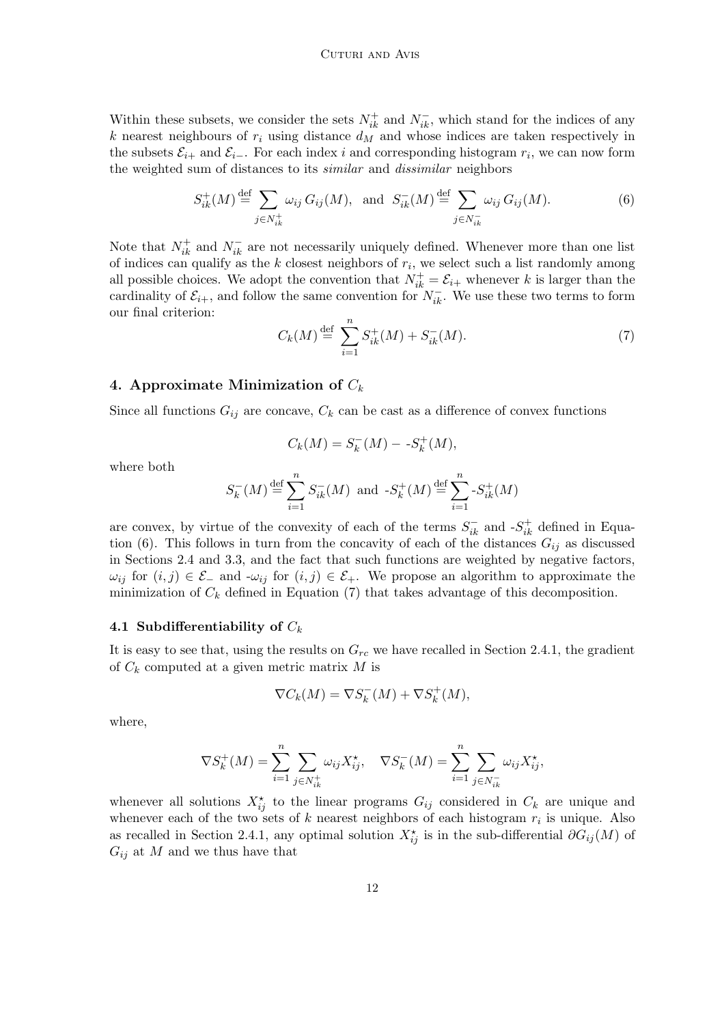Within these subsets, we consider the sets  $N_{ik}^+$  and  $N_{ik}^-$ , which stand for the indices of any k nearest neighbours of  $r_i$  using distance  $d_M$  and whose indices are taken respectively in the subsets  $\mathcal{E}_{i+}$  and  $\mathcal{E}_{i-}$ . For each index i and corresponding histogram  $r_i$ , we can now form the weighted sum of distances to its *similar* and *dissimilar* neighbors

$$
S_{ik}^{+}(M) \stackrel{\text{def}}{=} \sum_{j \in N_{ik}^{+}} \omega_{ij} \, G_{ij}(M), \text{ and } S_{ik}^{-}(M) \stackrel{\text{def}}{=} \sum_{j \in N_{ik}^{-}} \omega_{ij} \, G_{ij}(M). \tag{6}
$$

Note that  $N_{ik}^+$  and  $N_{ik}^-$  are not necessarily uniquely defined. Whenever more than one list of indices can qualify as the  $k$  closest neighbors of  $r_i$ , we select such a list randomly among all possible choices. We adopt the convention that  $N_{ik}^+ = \mathcal{E}_{i+}$  whenever k is larger than the cardinality of  $\mathcal{E}_{i+}$ , and follow the same convention for  $N_{ik}^-$ . We use these two terms to form our final criterion:

$$
C_k(M) \stackrel{\text{def}}{=} \sum_{i=1}^n S_{ik}^+(M) + S_{ik}^-(M). \tag{7}
$$

### 4. Approximate Minimization of  $C_k$

Since all functions  $G_{ij}$  are concave,  $C_k$  can be cast as a difference of convex functions

$$
C_k(M) = S_k^-(M) - S_k^+(M),
$$

where both

$$
S_k^-(M) \stackrel{\text{def}}{=} \sum_{i=1}^n S_{ik}^-(M) \text{ and } -S_k^+(M) \stackrel{\text{def}}{=} \sum_{i=1}^n S_{ik}^+(M)
$$

are convex, by virtue of the convexity of each of the terms  $S_{ik}^-$  and  $-S_{ik}^+$  defined in Equation (6). This follows in turn from the concavity of each of the distances  $G_{ij}$  as discussed in Sections 2.4 and 3.3, and the fact that such functions are weighted by negative factors,  $\omega_{ij}$  for  $(i, j) \in \mathcal{E}_-$  and  $\nu_{ij}$  for  $(i, j) \in \mathcal{E}_+$ . We propose an algorithm to approximate the minimization of  $C_k$  defined in Equation (7) that takes advantage of this decomposition.

## 4.1 Subdifferentiability of  $C_k$

It is easy to see that, using the results on  $G_{rc}$  we have recalled in Section 2.4.1, the gradient of  $C_k$  computed at a given metric matrix M is

$$
\nabla C_k(M) = \nabla S_k^-(M) + \nabla S_k^+(M),
$$

where,

$$
\nabla S_k^+(M) = \sum_{i=1}^n \sum_{j \in N_{ik}^+} \omega_{ij} X_{ij}^*, \quad \nabla S_k^-(M) = \sum_{i=1}^n \sum_{j \in N_{ik}^-} \omega_{ij} X_{ij}^*,
$$

whenever all solutions  $X_{ij}^{\star}$  to the linear programs  $G_{ij}$  considered in  $C_k$  are unique and whenever each of the two sets of k nearest neighbors of each histogram  $r_i$  is unique. Also as recalled in Section 2.4.1, any optimal solution  $X_{ij}^{\star}$  is in the sub-differential  $\partial G_{ij}(M)$  of  $G_{ij}$  at M and we thus have that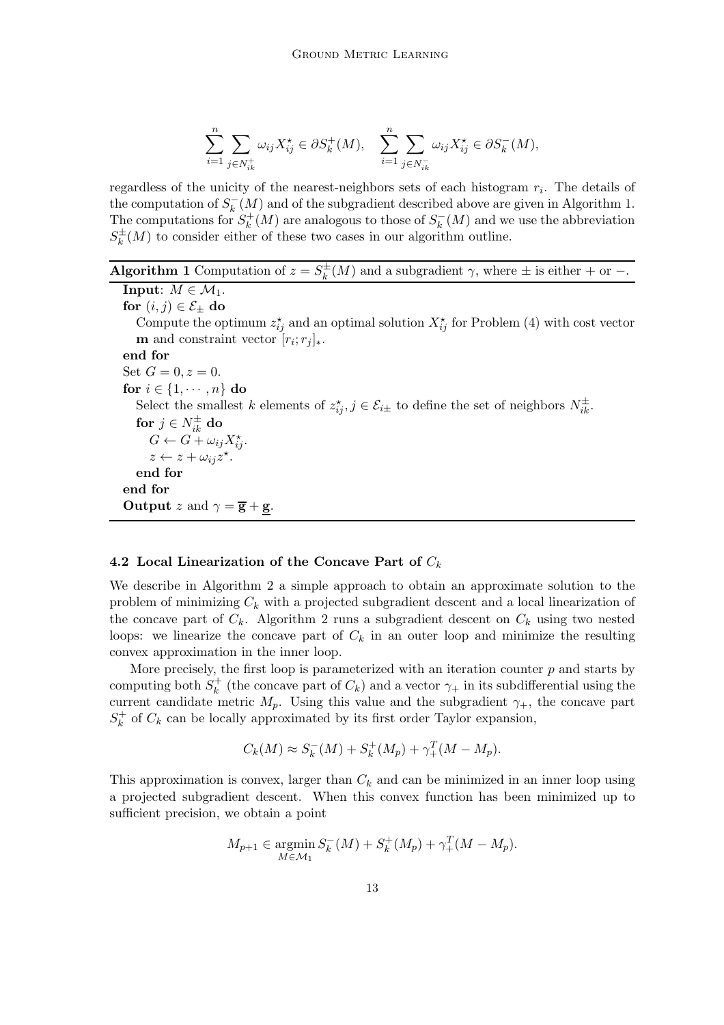$$
\sum_{i=1}^{n} \sum_{j \in N_{ik}^{+}} \omega_{ij} X_{ij}^{\star} \in \partial S_k^{+}(M), \quad \sum_{i=1}^{n} \sum_{j \in N_{ik}^{-}} \omega_{ij} X_{ij}^{\star} \in \partial S_k^{-}(M),
$$

regardless of the unicity of the nearest-neighbors sets of each histogram  $r_i$ . The details of the computation of  $S_k^-(M)$  and of the subgradient described above are given in Algorithm 1. The computations for  $S_k^+(M)$  are analogous to those of  $S_k^-(M)$  and we use the abbreviation  $S_k^{\pm}(M)$  to consider either of these two cases in our algorithm outline.

| <b>Algorithm 1</b> Computation of $z = S_k^{\pm}(M)$ and a subgradient $\gamma$ , where $\pm$ is either $+$ or $-$ . |  |  |
|----------------------------------------------------------------------------------------------------------------------|--|--|
|----------------------------------------------------------------------------------------------------------------------|--|--|

**Input:**  $M \in \mathcal{M}_1$ . for  $(i, j) \in \mathcal{E}_{\pm}$  do Compute the optimum  $z_{ij}^{\star}$  and an optimal solution  $X_{ij}^{\star}$  for Problem (4) with cost vector **m** and constraint vector  $[r_i; r_j]_*$ . end for Set  $G = 0, z = 0$ . for  $i \in \{1, \cdots, n\}$  do Select the smallest k elements of  $z_{ij}^*, j \in \mathcal{E}_{i\pm}$  to define the set of neighbors  $N_{ik}^{\pm}$ . for  $j\in N_{ik}^{\pm}$  do  $G \leftarrow \widetilde{G} + \omega_{ij} X_{ij}^{\star}.$  $z \leftarrow z + \omega_{ij} z^{\star}.$ end for end for Output z and  $\gamma = \overline{g} + \underline{g}$ .

## 4.2 Local Linearization of the Concave Part of  $C_k$

We describe in Algorithm 2 a simple approach to obtain an approximate solution to the problem of minimizing  $C_k$  with a projected subgradient descent and a local linearization of the concave part of  $C_k$ . Algorithm 2 runs a subgradient descent on  $C_k$  using two nested loops: we linearize the concave part of  $C_k$  in an outer loop and minimize the resulting convex approximation in the inner loop.

More precisely, the first loop is parameterized with an iteration counter  $p$  and starts by computing both  $S_k^+$  (the concave part of  $C_k$ ) and a vector  $\gamma_+$  in its subdifferential using the current candidate metric  $M_p$ . Using this value and the subgradient  $\gamma_+$ , the concave part  $S_k^+$  of  $C_k$  can be locally approximated by its first order Taylor expansion,

$$
C_k(M) \approx S_k^-(M) + S_k^+(M_p) + \gamma_+^T (M - M_p).
$$

This approximation is convex, larger than  $C_k$  and can be minimized in an inner loop using a projected subgradient descent. When this convex function has been minimized up to sufficient precision, we obtain a point

$$
M_{p+1} \in \operatorname*{argmin}_{M \in \mathcal{M}_1} S_k^-(M) + S_k^+(M_p) + \gamma_+^T (M - M_p).
$$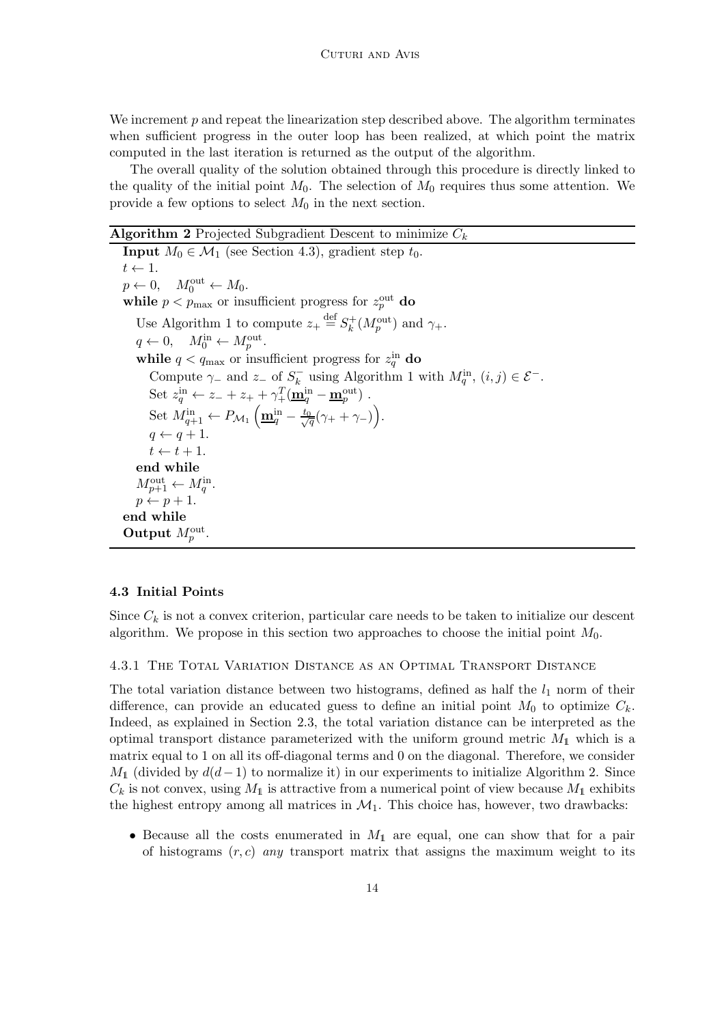We increment  $p$  and repeat the linearization step described above. The algorithm terminates when sufficient progress in the outer loop has been realized, at which point the matrix computed in the last iteration is returned as the output of the algorithm.

The overall quality of the solution obtained through this procedure is directly linked to the quality of the initial point  $M_0$ . The selection of  $M_0$  requires thus some attention. We provide a few options to select  $M_0$  in the next section.

## **Algorithm 2** Projected Subgradient Descent to minimize  $C_k$

**Input**  $M_0 \in \mathcal{M}_1$  (see Section 4.3), gradient step  $t_0$ .  $t \leftarrow 1$ .  $p \leftarrow 0, \quad M_0^{\text{out}} \leftarrow M_0.$ while  $p < p_{\text{max}}$  or insufficient progress for  $z_p^{\text{out}}$  do Use Algorithm 1 to compute  $z_+ \stackrel{\text{def}}{=} S_k^+(M_p^{\text{out}})$  and  $\gamma_+$ .  $q \leftarrow 0, \quad M_0^{\text{in}} \leftarrow M_p^{\text{out}}.$ while  $q < q_{\text{max}}$  or insufficient progress for  $z_{q}^{\text{in}}$  do Compute  $\gamma_-$  and  $z_-$  of  $S_k^-$  using Algorithm 1 with  $M_q^{\text{in}}$ ,  $(i, j) \in \mathcal{E}^-$ . Set  $z_q^{\text{in}} \leftarrow z_- + z_+ + \gamma_+^T (\underline{\mathbf{m}}_q^{\text{in}} - \underline{\mathbf{m}}_p^{\text{out}})$ . Set  $M_{q+1}^{\text{in}} \leftarrow P_{\mathcal{M}_1} \left( \underline{\mathbf{m}}_q^{\text{in}} - \frac{t_0}{\sqrt{q}} (\gamma_+ + \gamma_-) \right)$ .  $q \leftarrow q + 1.$  $t \leftarrow t + 1.$ end while  $M_{p+1}^{\text{out}} \leftarrow M_q^{\text{in}}.$  $p \leftarrow p + 1.$ end while Output  $M_p^{\text{out}}$ .

### 4.3 Initial Points

Since  $C_k$  is not a convex criterion, particular care needs to be taken to initialize our descent algorithm. We propose in this section two approaches to choose the initial point  $M_0$ .

#### 4.3.1 The Total Variation Distance as an Optimal Transport Distance

The total variation distance between two histograms, defined as half the  $l_1$  norm of their difference, can provide an educated guess to define an initial point  $M_0$  to optimize  $C_k$ . Indeed, as explained in Section 2.3, the total variation distance can be interpreted as the optimal transport distance parameterized with the uniform ground metric  $M_1$  which is a matrix equal to 1 on all its off-diagonal terms and 0 on the diagonal. Therefore, we consider  $M_1$  (divided by  $d(d-1)$  to normalize it) in our experiments to initialize Algorithm 2. Since  $C_k$  is not convex, using  $M_1$  is attractive from a numerical point of view because  $M_1$  exhibits the highest entropy among all matrices in  $\mathcal{M}_1$ . This choice has, however, two drawbacks:

• Because all the costs enumerated in  $M_1$  are equal, one can show that for a pair of histograms  $(r, c)$  *any* transport matrix that assigns the maximum weight to its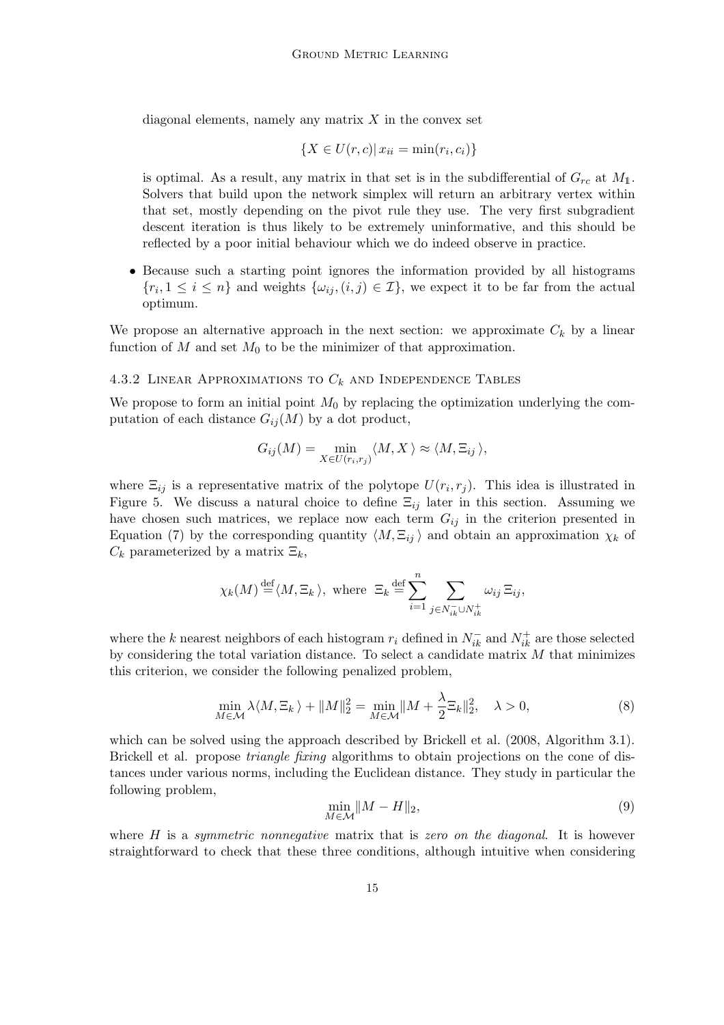diagonal elements, namely any matrix  $X$  in the convex set

$$
\{X \in U(r, c) | x_{ii} = \min(r_i, c_i)\}\
$$

is optimal. As a result, any matrix in that set is in the subdifferential of  $G_{rc}$  at  $M_1$ . Solvers that build upon the network simplex will return an arbitrary vertex within that set, mostly depending on the pivot rule they use. The very first subgradient descent iteration is thus likely to be extremely uninformative, and this should be reflected by a poor initial behaviour which we do indeed observe in practice.

• Because such a starting point ignores the information provided by all histograms  $\{r_i, 1 \leq i \leq n\}$  and weights  $\{\omega_{ij}, (i,j) \in \mathcal{I}\}\$ , we expect it to be far from the actual optimum.

We propose an alternative approach in the next section: we approximate  $C_k$  by a linear function of  $M$  and set  $M_0$  to be the minimizer of that approximation.

## 4.3.2 LINEAR APPROXIMATIONS TO  $C_k$  and Independence Tables

We propose to form an initial point  $M_0$  by replacing the optimization underlying the computation of each distance  $G_{ii}(M)$  by a dot product,

$$
G_{ij}(M) = \min_{X \in U(r_i, r_j)} \langle M, X \rangle \approx \langle M, \Xi_{ij} \rangle,
$$

where  $\Xi_{ij}$  is a representative matrix of the polytope  $U(r_i, r_j)$ . This idea is illustrated in Figure 5. We discuss a natural choice to define  $\Xi_{ij}$  later in this section. Assuming we have chosen such matrices, we replace now each term  $G_{ij}$  in the criterion presented in Equation (7) by the corresponding quantity  $\langle M, \Xi_{ij} \rangle$  and obtain an approximation  $\chi_k$  of  $C_k$  parameterized by a matrix  $\Xi_k$ ,

$$
\chi_k(M) \stackrel{\text{def}}{=} \langle M, \Xi_k \rangle
$$
, where  $\Xi_k \stackrel{\text{def}}{=} \sum_{i=1}^n \sum_{j \in N_{ik}^- \cup N_{ik}^+} \omega_{ij} \Xi_{ij}$ ,

where the k nearest neighbors of each histogram  $r_i$  defined in  $N_{ik}^-$  and  $N_{ik}^+$  are those selected by considering the total variation distance. To select a candidate matrix  $M$  that minimizes this criterion, we consider the following penalized problem,

$$
\min_{M \in \mathcal{M}} \lambda \langle M, \Xi_k \rangle + \|M\|_2^2 = \min_{M \in \mathcal{M}} \|M + \frac{\lambda}{2} \Xi_k\|_2^2, \quad \lambda > 0,
$$
\n(8)

which can be solved using the approach described by Brickell et al. (2008, Algorithm 3.1). Brickell et al. propose *triangle fixing* algorithms to obtain projections on the cone of distances under various norms, including the Euclidean distance. They study in particular the following problem,

$$
\min_{M \in \mathcal{M}} \|M - H\|_2,\tag{9}
$$

where H is a *symmetric nonnegative* matrix that is *zero on the diagonal*. It is however straightforward to check that these three conditions, although intuitive when considering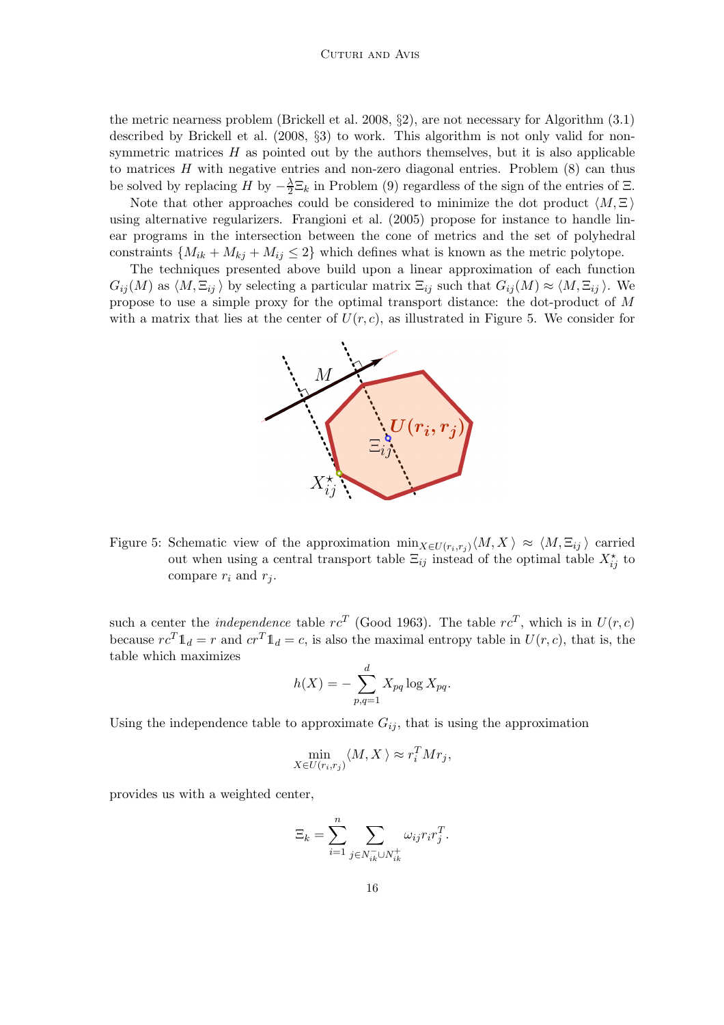the metric nearness problem (Brickell et al. 2008, §2), are not necessary for Algorithm (3.1) described by Brickell et al. (2008, §3) to work. This algorithm is not only valid for nonsymmetric matrices  $H$  as pointed out by the authors themselves, but it is also applicable to matrices  $H$  with negative entries and non-zero diagonal entries. Problem  $(8)$  can thus be solved by replacing  $H$  by  $-\frac{\lambda}{2}$  $\frac{\lambda}{2} \Xi_k$  in Problem (9) regardless of the sign of the entries of  $\Xi$ .

Note that other approaches could be considered to minimize the dot product  $\langle M, \Xi \rangle$ using alternative regularizers. Frangioni et al. (2005) propose for instance to handle linear programs in the intersection between the cone of metrics and the set of polyhedral constraints  $\{M_{ik} + M_{kj} + M_{ij} \leq 2\}$  which defines what is known as the metric polytope.

The techniques presented above build upon a linear approximation of each function  $G_{ij}(M)$  as  $\langle M, \Xi_{ij} \rangle$  by selecting a particular matrix  $\Xi_{ij}$  such that  $G_{ij}(M) \approx \langle M, \Xi_{ij} \rangle$ . We propose to use a simple proxy for the optimal transport distance: the dot-product of M with a matrix that lies at the center of  $U(r, c)$ , as illustrated in Figure 5. We consider for



Figure 5: Schematic view of the approximation  $\min_{X \in U(r_i,r_j)} \langle M, X \rangle \approx \langle M, \Xi_{ij} \rangle$  carried out when using a central transport table  $\Xi_{ij}$  instead of the optimal table  $X_{ij}^{\star}$  to compare  $r_i$  and  $r_j$ .

such a center the *independence* table  $rc^T$  (Good 1963). The table  $rc^T$ , which is in  $U(r, c)$ because  $rc^T \mathbb{1}_d = r$  and  $cr^T \mathbb{1}_d = c$ , is also the maximal entropy table in  $U(r, c)$ , that is, the table which maximizes

$$
h(X) = -\sum_{p,q=1}^{d} X_{pq} \log X_{pq}.
$$

Using the independence table to approximate  $G_{ij}$ , that is using the approximation

$$
\min_{X \in U(r_i, r_j)} \langle M, X \rangle \approx r_i^T M r_j,
$$

provides us with a weighted center,

$$
\Xi_k = \sum_{i=1}^n \sum_{j \in N_{ik}^- \cup N_{ik}^+} \omega_{ij} r_i r_j^T.
$$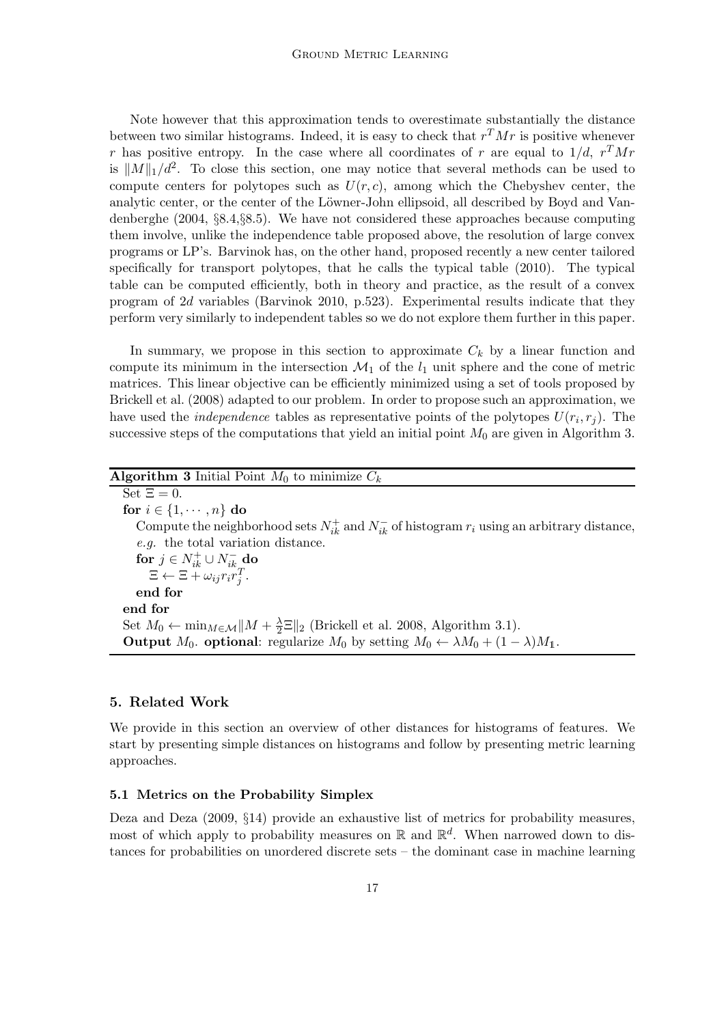Note however that this approximation tends to overestimate substantially the distance between two similar histograms. Indeed, it is easy to check that  $r^T M r$  is positive whenever r has positive entropy. In the case where all coordinates of r are equal to  $1/d$ ,  $r<sup>T</sup>Mr$ is  $||M||_1/d^2$ . To close this section, one may notice that several methods can be used to compute centers for polytopes such as  $U(r, c)$ , among which the Chebyshev center, the analytic center, or the center of the Löwner-John ellipsoid, all described by Boyd and Vandenberghe (2004, §8.4,§8.5). We have not considered these approaches because computing them involve, unlike the independence table proposed above, the resolution of large convex programs or LP's. Barvinok has, on the other hand, proposed recently a new center tailored specifically for transport polytopes, that he calls the typical table (2010). The typical table can be computed efficiently, both in theory and practice, as the result of a convex program of 2d variables (Barvinok 2010, p.523). Experimental results indicate that they perform very similarly to independent tables so we do not explore them further in this paper.

In summary, we propose in this section to approximate  $C_k$  by a linear function and compute its minimum in the intersection  $\mathcal{M}_1$  of the  $l_1$  unit sphere and the cone of metric matrices. This linear objective can be efficiently minimized using a set of tools proposed by Brickell et al. (2008) adapted to our problem. In order to propose such an approximation, we have used the *independence* tables as representative points of the polytopes  $U(r_i, r_j)$ . The successive steps of the computations that yield an initial point  $M_0$  are given in Algorithm 3.

| <b>Algorithm 3</b> Initial Point $M_0$ to minimize $C_k$                                                              |
|-----------------------------------------------------------------------------------------------------------------------|
| Set $\Xi = 0$ .                                                                                                       |
| for $i \in \{1, \dots, n\}$ do                                                                                        |
| Compute the neighborhood sets $N_{ik}^+$ and $N_{ik}^-$ of histogram $r_i$ using an arbitrary distance,               |
| e.g. the total variation distance.                                                                                    |
| for $j \in N_{ik}^+ \cup N_{ik}^-$ do                                                                                 |
| $\Xi \leftarrow \Xi + \omega_{ij} r_i r_j^T.$                                                                         |
| end for                                                                                                               |
| end for                                                                                                               |
| Set $M_0 \leftarrow \min_{M \in \mathcal{M}}   M + \frac{\lambda}{2}E  _2$ (Brickell et al. 2008, Algorithm 3.1).     |
| <b>Output</b> $M_0$ . <b>optional</b> : regularize $M_0$ by setting $M_0 \leftarrow \lambda M_0 + (1 - \lambda)M_1$ . |

## 5. Related Work

We provide in this section an overview of other distances for histograms of features. We start by presenting simple distances on histograms and follow by presenting metric learning approaches.

#### 5.1 Metrics on the Probability Simplex

Deza and Deza (2009, §14) provide an exhaustive list of metrics for probability measures, most of which apply to probability measures on  $\mathbb R$  and  $\mathbb R^d$ . When narrowed down to distances for probabilities on unordered discrete sets – the dominant case in machine learning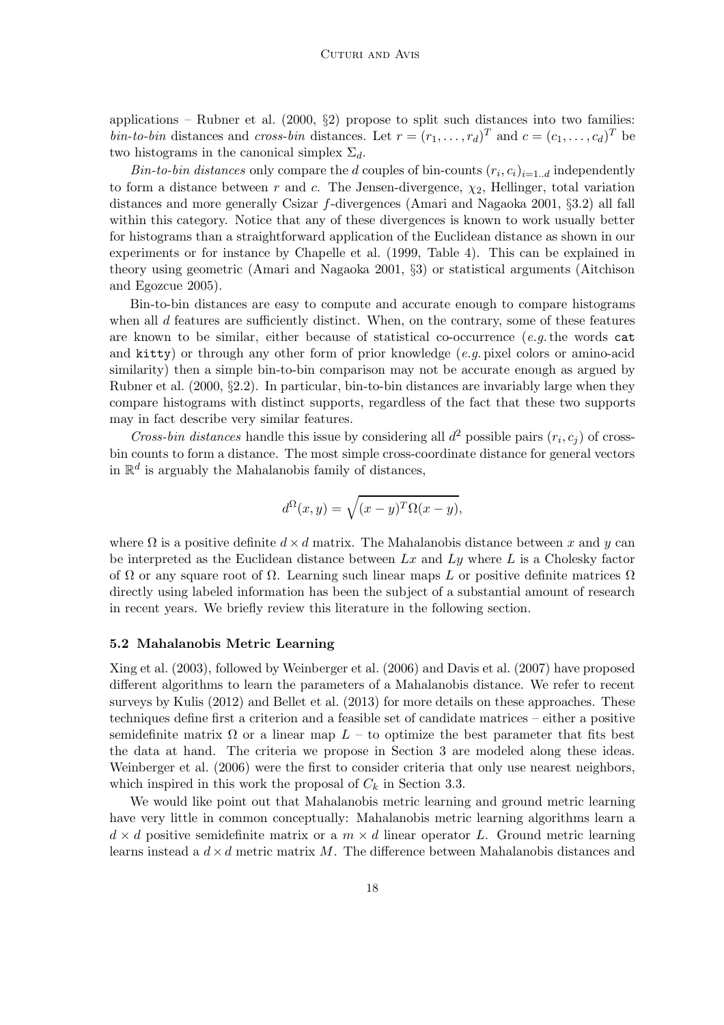applications – Rubner et al.  $(2000, \, \delta 2)$  propose to split such distances into two families: *bin-to-bin* distances and *cross-bin* distances. Let  $r = (r_1, \ldots, r_d)^T$  and  $c = (c_1, \ldots, c_d)^T$  be two histograms in the canonical simplex  $\Sigma_d$ .

*Bin-to-bin distances* only compare the *d* couples of bin-counts  $(r_i, c_i)_{i=1..d}$  independently to form a distance between r and c. The Jensen-divergence,  $\chi_2$ , Hellinger, total variation distances and more generally Csizar f-divergences (Amari and Nagaoka 2001, §3.2) all fall within this category. Notice that any of these divergences is known to work usually better for histograms than a straightforward application of the Euclidean distance as shown in our experiments or for instance by Chapelle et al. (1999, Table 4). This can be explained in theory using geometric (Amari and Nagaoka 2001, §3) or statistical arguments (Aitchison and Egozcue 2005).

Bin-to-bin distances are easy to compute and accurate enough to compare histograms when all  $d$  features are sufficiently distinct. When, on the contrary, some of these features are known to be similar, either because of statistical co-occurrence (*e.g.*the words cat and kitty) or through any other form of prior knowledge (*e.g.* pixel colors or amino-acid similarity) then a simple bin-to-bin comparison may not be accurate enough as argued by Rubner et al.  $(2000, \S2.2)$ . In particular, bin-to-bin distances are invariably large when they compare histograms with distinct supports, regardless of the fact that these two supports may in fact describe very similar features.

*Cross-bin distances* handle this issue by considering all  $d^2$  possible pairs  $(r_i, c_j)$  of crossbin counts to form a distance. The most simple cross-coordinate distance for general vectors in  $\mathbb{R}^d$  is arguably the Mahalanobis family of distances,

$$
d^{\Omega}(x,y) = \sqrt{(x-y)^T \Omega(x-y)},
$$

where  $\Omega$  is a positive definite  $d \times d$  matrix. The Mahalanobis distance between x and y can be interpreted as the Euclidean distance between  $Lx$  and  $Ly$  where L is a Cholesky factor of  $\Omega$  or any square root of  $\Omega$ . Learning such linear maps L or positive definite matrices  $\Omega$ directly using labeled information has been the subject of a substantial amount of research in recent years. We briefly review this literature in the following section.

#### 5.2 Mahalanobis Metric Learning

Xing et al. (2003), followed by Weinberger et al. (2006) and Davis et al. (2007) have proposed different algorithms to learn the parameters of a Mahalanobis distance. We refer to recent surveys by Kulis (2012) and Bellet et al. (2013) for more details on these approaches. These techniques define first a criterion and a feasible set of candidate matrices – either a positive semidefinite matrix  $\Omega$  or a linear map  $L$  – to optimize the best parameter that fits best the data at hand. The criteria we propose in Section 3 are modeled along these ideas. Weinberger et al. (2006) were the first to consider criteria that only use nearest neighbors, which inspired in this work the proposal of  $C_k$  in Section 3.3.

We would like point out that Mahalanobis metric learning and ground metric learning have very little in common conceptually: Mahalanobis metric learning algorithms learn a  $d \times d$  positive semidefinite matrix or a  $m \times d$  linear operator L. Ground metric learning learns instead a  $d \times d$  metric matrix M. The difference between Mahalanobis distances and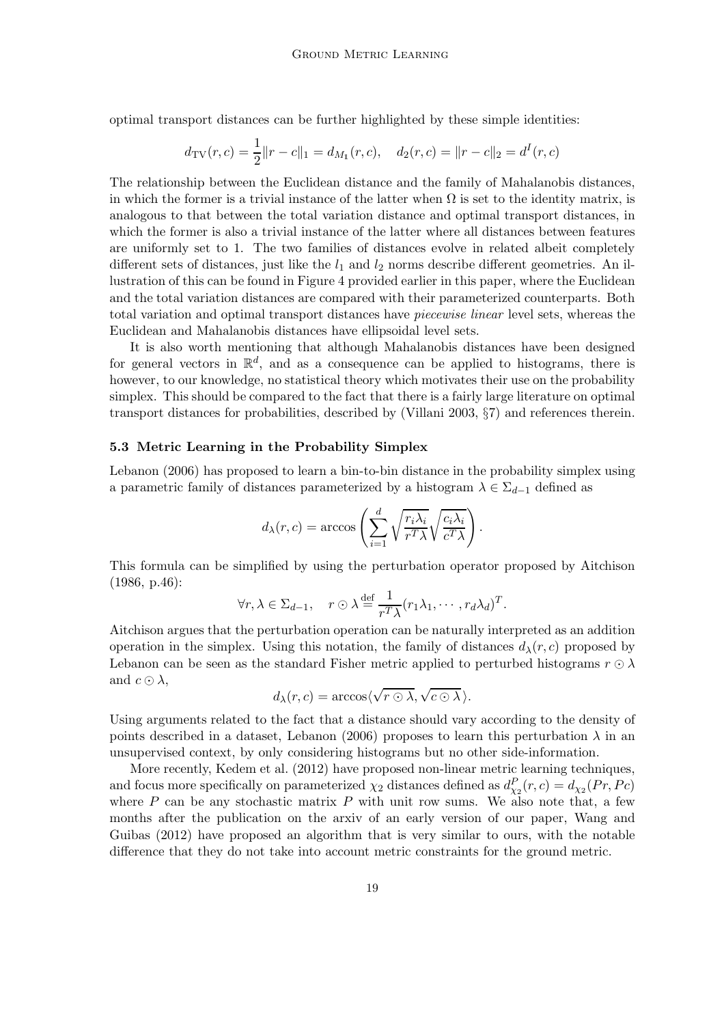optimal transport distances can be further highlighted by these simple identities:

$$
d_{\text{TV}}(r, c) = \frac{1}{2} ||r - c||_1 = d_{M_1}(r, c), \quad d_2(r, c) = ||r - c||_2 = d^I(r, c)
$$

The relationship between the Euclidean distance and the family of Mahalanobis distances, in which the former is a trivial instance of the latter when  $\Omega$  is set to the identity matrix, is analogous to that between the total variation distance and optimal transport distances, in which the former is also a trivial instance of the latter where all distances between features are uniformly set to 1. The two families of distances evolve in related albeit completely different sets of distances, just like the  $l_1$  and  $l_2$  norms describe different geometries. An illustration of this can be found in Figure 4 provided earlier in this paper, where the Euclidean and the total variation distances are compared with their parameterized counterparts. Both total variation and optimal transport distances have *piecewise linear* level sets, whereas the Euclidean and Mahalanobis distances have ellipsoidal level sets.

It is also worth mentioning that although Mahalanobis distances have been designed for general vectors in  $\mathbb{R}^d$ , and as a consequence can be applied to histograms, there is however, to our knowledge, no statistical theory which motivates their use on the probability simplex. This should be compared to the fact that there is a fairly large literature on optimal transport distances for probabilities, described by (Villani 2003, §7) and references therein.

## 5.3 Metric Learning in the Probability Simplex

Lebanon (2006) has proposed to learn a bin-to-bin distance in the probability simplex using a parametric family of distances parameterized by a histogram  $\lambda \in \Sigma_{d-1}$  defined as

$$
d_{\lambda}(r, c) = \arccos\left(\sum_{i=1}^{d} \sqrt{\frac{r_i \lambda_i}{r^T \lambda}} \sqrt{\frac{c_i \lambda_i}{c^T \lambda}}\right).
$$

This formula can be simplified by using the perturbation operator proposed by Aitchison (1986, p.46):

$$
\forall r, \lambda \in \Sigma_{d-1}, \quad r \odot \lambda \stackrel{\text{def}}{=} \frac{1}{r^T \lambda} (r_1 \lambda_1, \cdots, r_d \lambda_d)^T.
$$

Aitchison argues that the perturbation operation can be naturally interpreted as an addition operation in the simplex. Using this notation, the family of distances  $d_{\lambda}(r, c)$  proposed by Lebanon can be seen as the standard Fisher metric applied to perturbed histograms  $r \odot \lambda$ and  $c \odot \lambda$ ,

$$
d_{\lambda}(r,c) = \arccos\langle \sqrt{r \odot \lambda}, \sqrt{c \odot \lambda} \rangle.
$$

Using arguments related to the fact that a distance should vary according to the density of points described in a dataset, Lebanon (2006) proposes to learn this perturbation  $\lambda$  in an unsupervised context, by only considering histograms but no other side-information.

More recently, Kedem et al. (2012) have proposed non-linear metric learning techniques, and focus more specifically on parameterized  $\chi_2$  distances defined as  $d_{\chi_2}^P(r,c) = d_{\chi_2}(Pr, Pc)$ where  $P$  can be any stochastic matrix  $P$  with unit row sums. We also note that, a few months after the publication on the arxiv of an early version of our paper, Wang and Guibas (2012) have proposed an algorithm that is very similar to ours, with the notable difference that they do not take into account metric constraints for the ground metric.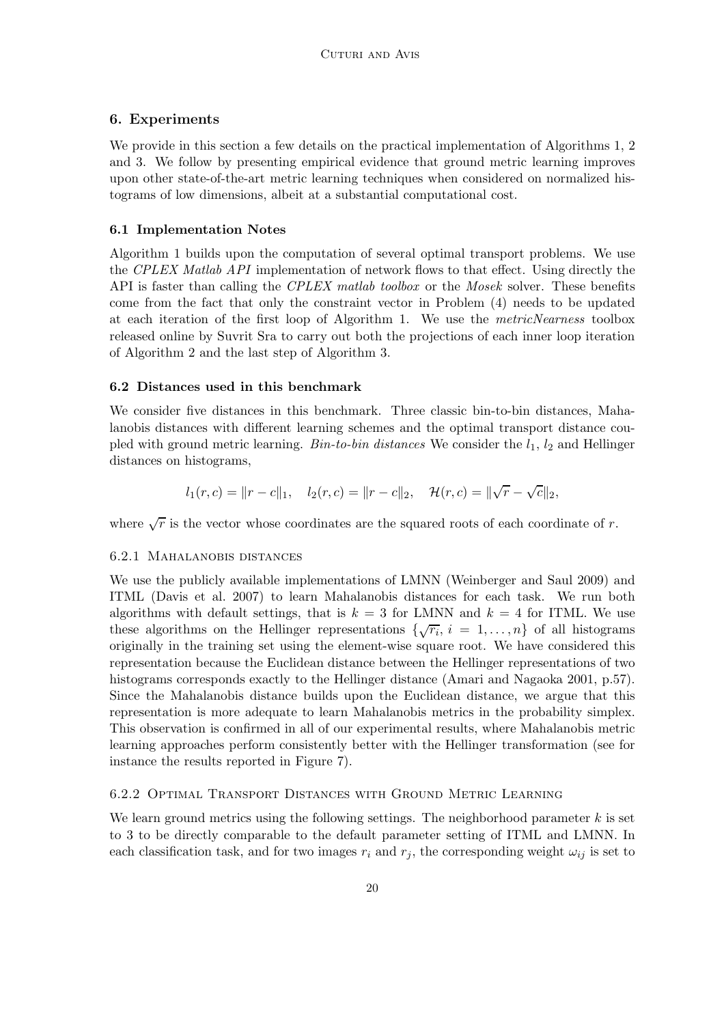## 6. Experiments

We provide in this section a few details on the practical implementation of Algorithms 1, 2 and 3. We follow by presenting empirical evidence that ground metric learning improves upon other state-of-the-art metric learning techniques when considered on normalized histograms of low dimensions, albeit at a substantial computational cost.

## 6.1 Implementation Notes

Algorithm 1 builds upon the computation of several optimal transport problems. We use the *CPLEX Matlab API* implementation of network flows to that effect. Using directly the API is faster than calling the *CPLEX matlab toolbox* or the *Mosek* solver. These benefits come from the fact that only the constraint vector in Problem (4) needs to be updated at each iteration of the first loop of Algorithm 1. We use the *metricNearness* toolbox released online by Suvrit Sra to carry out both the projections of each inner loop iteration of Algorithm 2 and the last step of Algorithm 3.

## 6.2 Distances used in this benchmark

We consider five distances in this benchmark. Three classic bin-to-bin distances, Mahalanobis distances with different learning schemes and the optimal transport distance coupled with ground metric learning. *Bin-to-bin distances* We consider the  $l_1$ ,  $l_2$  and Hellinger distances on histograms,

$$
l_1(r, c) = ||r - c||_1
$$
,  $l_2(r, c) = ||r - c||_2$ ,  $\mathcal{H}(r, c) = ||\sqrt{r} - \sqrt{c}||_2$ ,

where  $\sqrt{r}$  is the vector whose coordinates are the squared roots of each coordinate of r.

## 6.2.1 Mahalanobis distances

We use the publicly available implementations of LMNN (Weinberger and Saul 2009) and ITML (Davis et al. 2007) to learn Mahalanobis distances for each task. We run both algorithms with default settings, that is  $k = 3$  for LMNN and  $k = 4$  for ITML. We use these algorithms on the Hellinger representations  $\{\sqrt{r_i}, i = 1, \ldots, n\}$  of all histograms originally in the training set using the element-wise square root. We have considered this representation because the Euclidean distance between the Hellinger representations of two histograms corresponds exactly to the Hellinger distance (Amari and Nagaoka 2001, p.57). Since the Mahalanobis distance builds upon the Euclidean distance, we argue that this representation is more adequate to learn Mahalanobis metrics in the probability simplex. This observation is confirmed in all of our experimental results, where Mahalanobis metric learning approaches perform consistently better with the Hellinger transformation (see for instance the results reported in Figure 7).

## 6.2.2 Optimal Transport Distances with Ground Metric Learning

We learn ground metrics using the following settings. The neighborhood parameter  $k$  is set to 3 to be directly comparable to the default parameter setting of ITML and LMNN. In each classification task, and for two images  $r_i$  and  $r_j$ , the corresponding weight  $\omega_{ij}$  is set to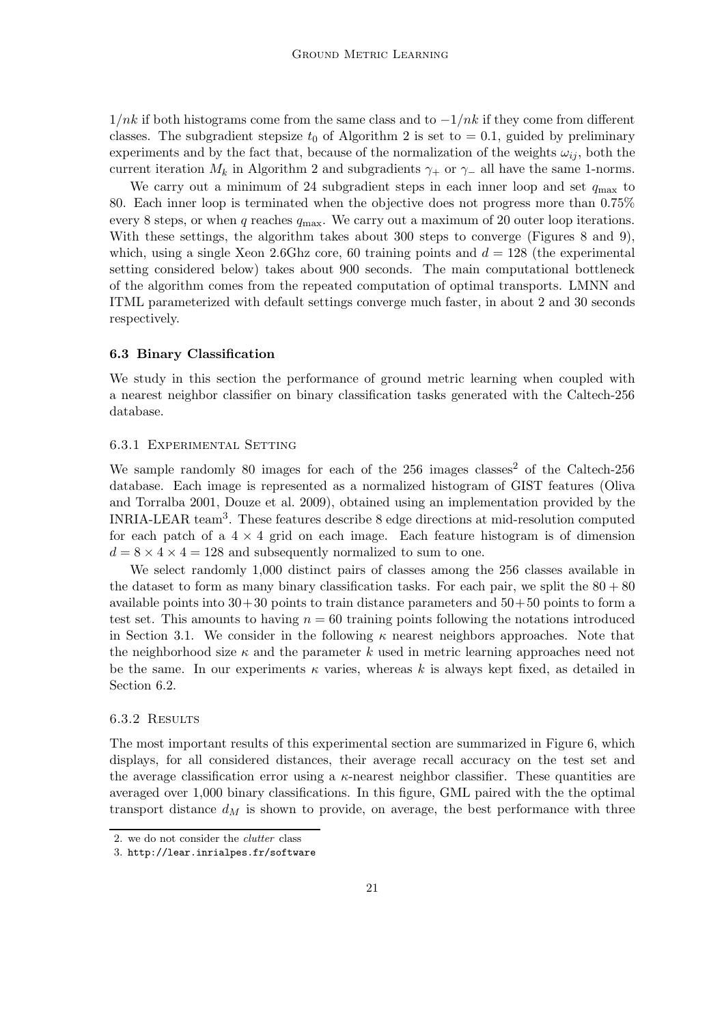$1/nk$  if both histograms come from the same class and to  $-1/nk$  if they come from different classes. The subgradient stepsize  $t_0$  of Algorithm 2 is set to  $= 0.1$ , guided by preliminary experiments and by the fact that, because of the normalization of the weights  $\omega_{ij}$ , both the current iteration  $M_k$  in Algorithm 2 and subgradients  $\gamma_+$  or  $\gamma_-$  all have the same 1-norms.

We carry out a minimum of 24 subgradient steps in each inner loop and set  $q_{\text{max}}$  to 80. Each inner loop is terminated when the objective does not progress more than 0.75% every 8 steps, or when q reaches  $q_{\text{max}}$ . We carry out a maximum of 20 outer loop iterations. With these settings, the algorithm takes about 300 steps to converge (Figures 8 and 9), which, using a single Xeon 2.6Ghz core, 60 training points and  $d = 128$  (the experimental setting considered below) takes about 900 seconds. The main computational bottleneck of the algorithm comes from the repeated computation of optimal transports. LMNN and ITML parameterized with default settings converge much faster, in about 2 and 30 seconds respectively.

#### 6.3 Binary Classification

We study in this section the performance of ground metric learning when coupled with a nearest neighbor classifier on binary classification tasks generated with the Caltech-256 database.

### 6.3.1 Experimental Setting

We sample randomly 80 images for each of the 256 images classes<sup>2</sup> of the Caltech-256 database. Each image is represented as a normalized histogram of GIST features (Oliva and Torralba 2001, Douze et al. 2009), obtained using an implementation provided by the INRIA-LEAR team<sup>3</sup> . These features describe 8 edge directions at mid-resolution computed for each patch of a  $4 \times 4$  grid on each image. Each feature histogram is of dimension  $d = 8 \times 4 \times 4 = 128$  and subsequently normalized to sum to one.

We select randomly 1,000 distinct pairs of classes among the 256 classes available in the dataset to form as many binary classification tasks. For each pair, we split the  $80 + 80$ available points into  $30+30$  points to train distance parameters and  $50+50$  points to form a test set. This amounts to having  $n = 60$  training points following the notations introduced in Section 3.1. We consider in the following  $\kappa$  nearest neighbors approaches. Note that the neighborhood size  $\kappa$  and the parameter k used in metric learning approaches need not be the same. In our experiments  $\kappa$  varies, whereas k is always kept fixed, as detailed in Section 6.2.

#### 6.3.2 Results

The most important results of this experimental section are summarized in Figure 6, which displays, for all considered distances, their average recall accuracy on the test set and the average classification error using a  $\kappa$ -nearest neighbor classifier. These quantities are averaged over 1,000 binary classifications. In this figure, GML paired with the the optimal transport distance  $d_M$  is shown to provide, on average, the best performance with three

<sup>2.</sup> we do not consider the clutter class

<sup>3.</sup> http://lear.inrialpes.fr/software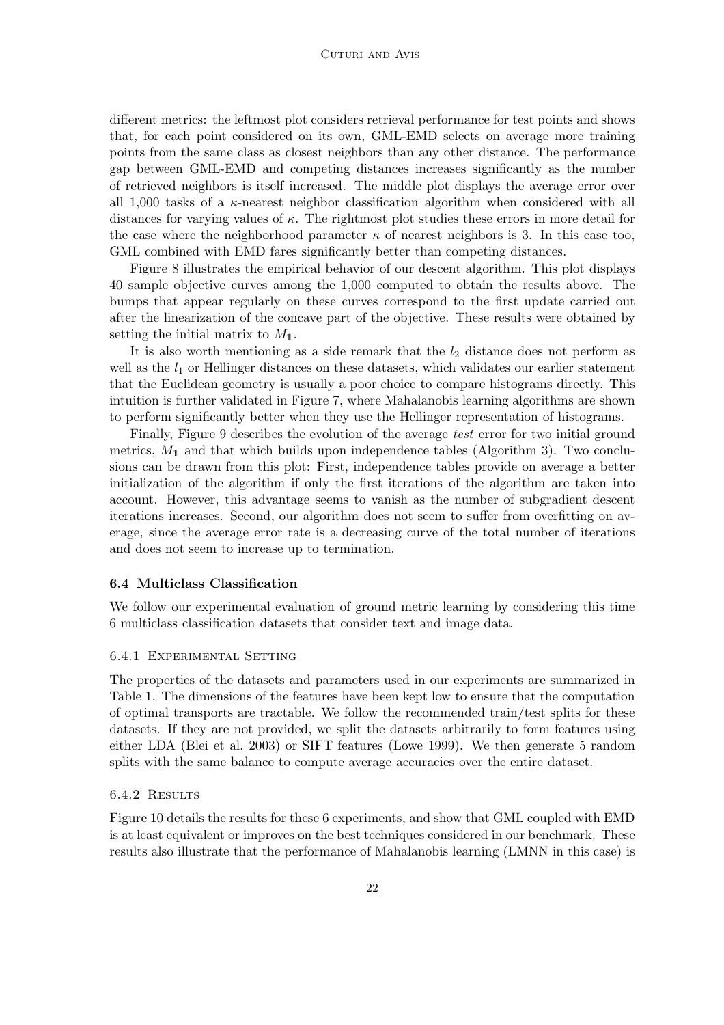#### CUTURI AND AVIS

different metrics: the leftmost plot considers retrieval performance for test points and shows that, for each point considered on its own, GML-EMD selects on average more training points from the same class as closest neighbors than any other distance. The performance gap between GML-EMD and competing distances increases significantly as the number of retrieved neighbors is itself increased. The middle plot displays the average error over all 1,000 tasks of a κ-nearest neighbor classification algorithm when considered with all distances for varying values of  $\kappa$ . The rightmost plot studies these errors in more detail for the case where the neighborhood parameter  $\kappa$  of nearest neighbors is 3. In this case too, GML combined with EMD fares significantly better than competing distances.

Figure 8 illustrates the empirical behavior of our descent algorithm. This plot displays 40 sample objective curves among the 1,000 computed to obtain the results above. The bumps that appear regularly on these curves correspond to the first update carried out after the linearization of the concave part of the objective. These results were obtained by setting the initial matrix to  $M_1$ .

It is also worth mentioning as a side remark that the  $l_2$  distance does not perform as well as the  $l_1$  or Hellinger distances on these datasets, which validates our earlier statement that the Euclidean geometry is usually a poor choice to compare histograms directly. This intuition is further validated in Figure 7, where Mahalanobis learning algorithms are shown to perform significantly better when they use the Hellinger representation of histograms.

Finally, Figure 9 describes the evolution of the average *test* error for two initial ground metrics,  $M_1$  and that which builds upon independence tables (Algorithm 3). Two conclusions can be drawn from this plot: First, independence tables provide on average a better initialization of the algorithm if only the first iterations of the algorithm are taken into account. However, this advantage seems to vanish as the number of subgradient descent iterations increases. Second, our algorithm does not seem to suffer from overfitting on average, since the average error rate is a decreasing curve of the total number of iterations and does not seem to increase up to termination.

#### 6.4 Multiclass Classification

We follow our experimental evaluation of ground metric learning by considering this time 6 multiclass classification datasets that consider text and image data.

#### 6.4.1 Experimental Setting

The properties of the datasets and parameters used in our experiments are summarized in Table 1. The dimensions of the features have been kept low to ensure that the computation of optimal transports are tractable. We follow the recommended train/test splits for these datasets. If they are not provided, we split the datasets arbitrarily to form features using either LDA (Blei et al. 2003) or SIFT features (Lowe 1999). We then generate 5 random splits with the same balance to compute average accuracies over the entire dataset.

#### 6.4.2 Results

Figure 10 details the results for these 6 experiments, and show that GML coupled with EMD is at least equivalent or improves on the best techniques considered in our benchmark. These results also illustrate that the performance of Mahalanobis learning (LMNN in this case) is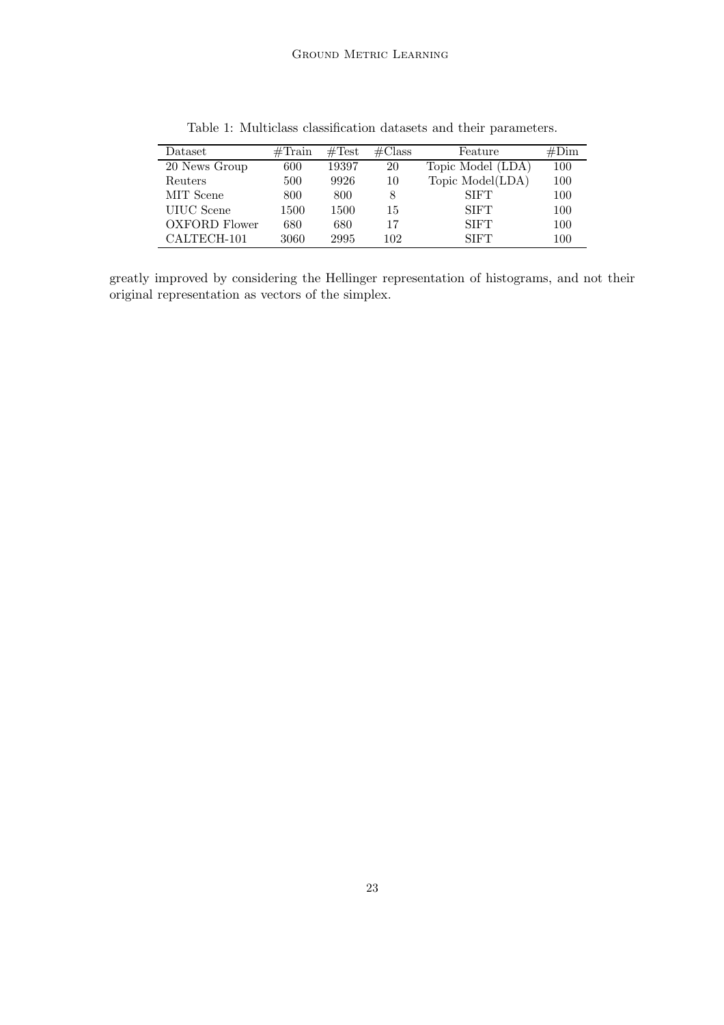| Dataset              | $\#\text{Train}$ | $\#\text{Test}$ | $\#\mathrm{Class}$ | Feature           | #Dim |
|----------------------|------------------|-----------------|--------------------|-------------------|------|
| 20 News Group        | 600              | 19397           | 20                 | Topic Model (LDA) | 100  |
| Reuters              | 500              | 9926            | 10                 | Topic Model(LDA)  | 100  |
| MIT Scene            | 800              | 800             |                    | <b>SIFT</b>       | 100  |
| UIUC Scene           | 1500             | 1500            | 15                 | <b>SIFT</b>       | 100  |
| <b>OXFORD Flower</b> | 680              | 680             | 17                 | <b>SIFT</b>       | 100  |
| CALTECH-101          | 3060             | 2995            | 102                | <b>SIFT</b>       | 100  |

Table 1: Multiclass classification datasets and their parameters.

greatly improved by considering the Hellinger representation of histograms, and not their original representation as vectors of the simplex.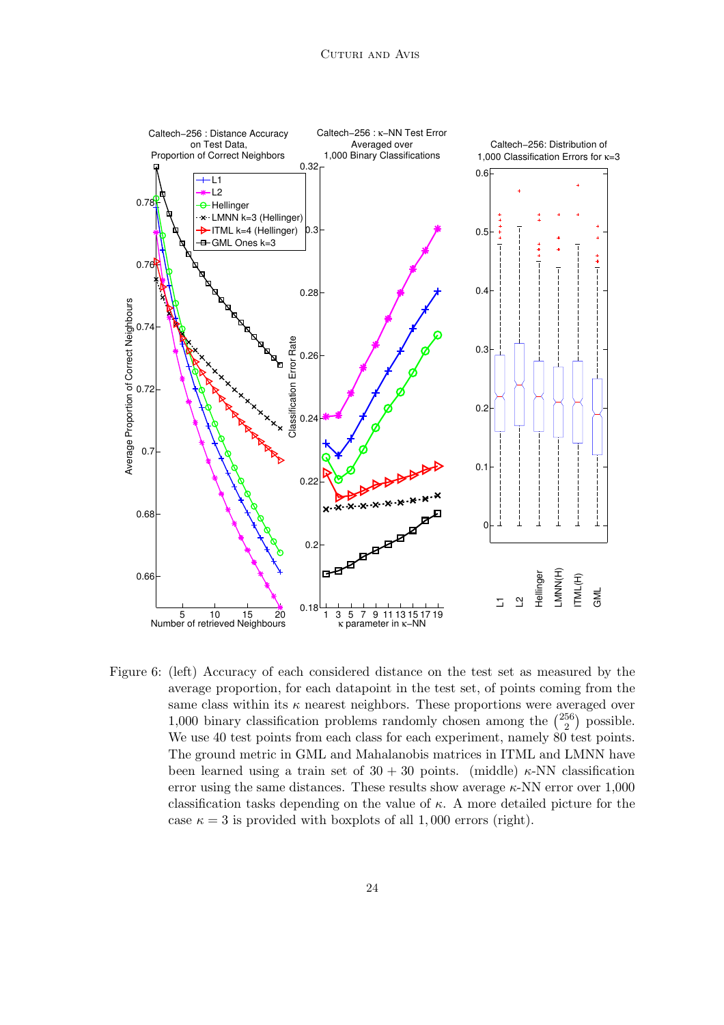

Figure 6: (left) Accuracy of each considered distance on the test set as measured by the average proportion, for each datapoint in the test set, of points coming from the same class within its  $\kappa$  nearest neighbors. These proportions were averaged over 1,000 binary classification problems randomly chosen among the  $\binom{256}{2}$  $_2^{56}$ ) possible. We use 40 test points from each class for each experiment, namely 80 test points. The ground metric in GML and Mahalanobis matrices in ITML and LMNN have been learned using a train set of  $30 + 30$  points. (middle)  $\kappa$ -NN classification error using the same distances. These results show average  $\kappa$ -NN error over 1,000 classification tasks depending on the value of  $\kappa$ . A more detailed picture for the case  $\kappa = 3$  is provided with boxplots of all 1,000 errors (right).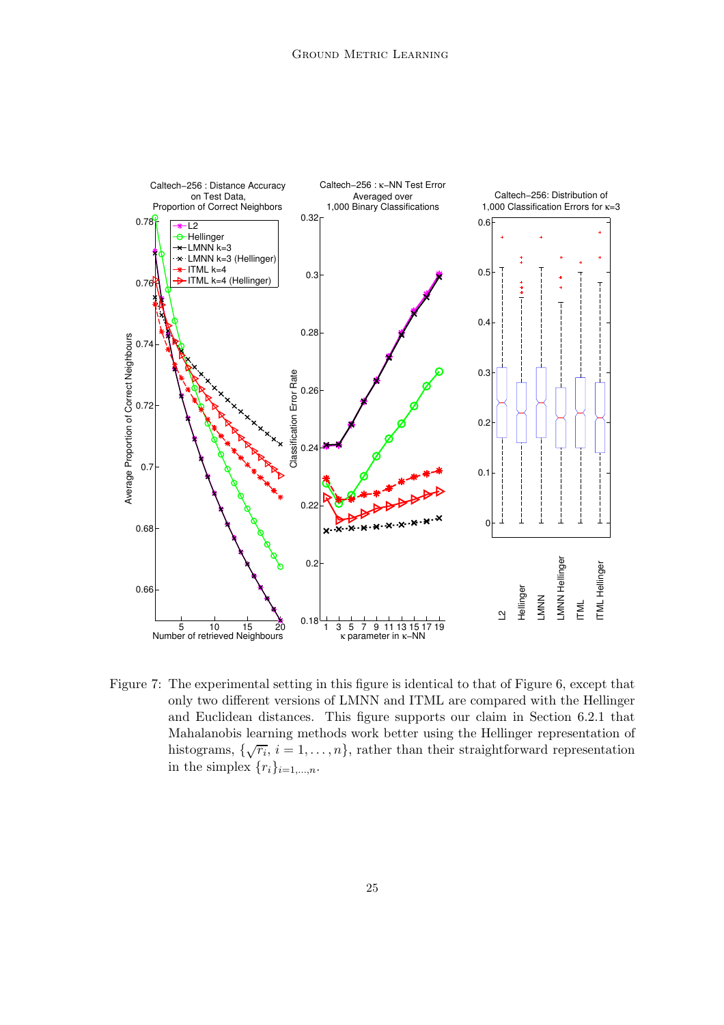

Figure 7: The experimental setting in this figure is identical to that of Figure 6, except that only two different versions of LMNN and ITML are compared with the Hellinger and Euclidean distances. This figure supports our claim in Section 6.2.1 that Mahalanobis learning methods work better using the Hellinger representation of histograms,  $\{\sqrt{r_i}, i = 1, \ldots, n\}$ , rather than their straightforward representation in the simplex  $\{r_i\}_{i=1,\ldots,n}$ .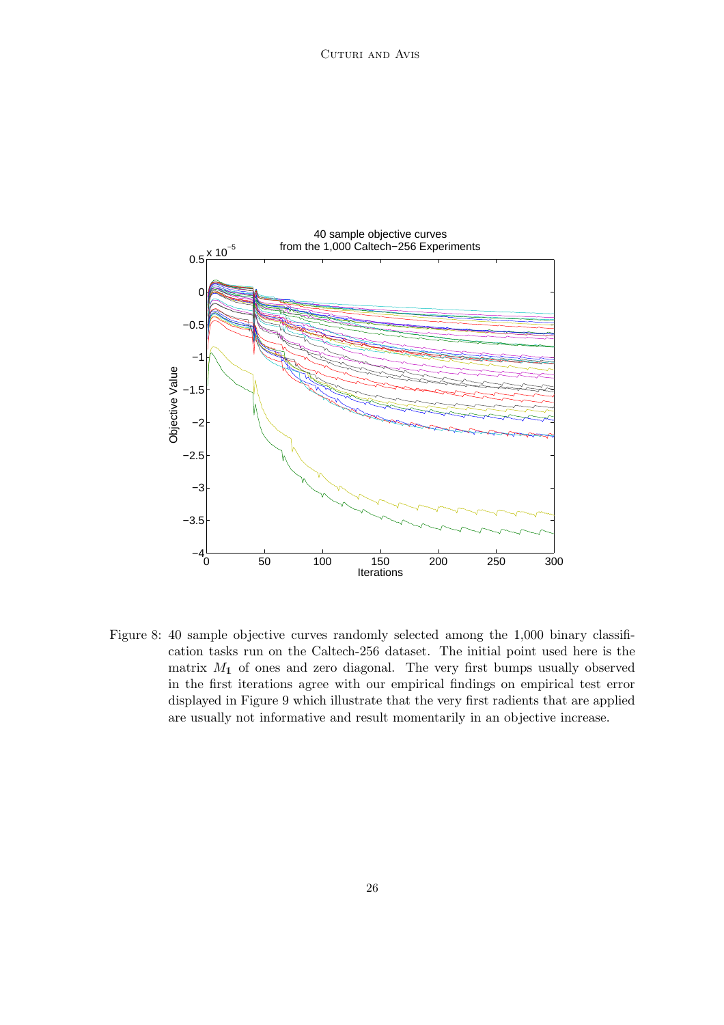

Figure 8: 40 sample objective curves randomly selected among the 1,000 binary classification tasks run on the Caltech-256 dataset. The initial point used here is the matrix  $M_1$  of ones and zero diagonal. The very first bumps usually observed in the first iterations agree with our empirical findings on empirical test error displayed in Figure 9 which illustrate that the very first radients that are applied are usually not informative and result momentarily in an objective increase.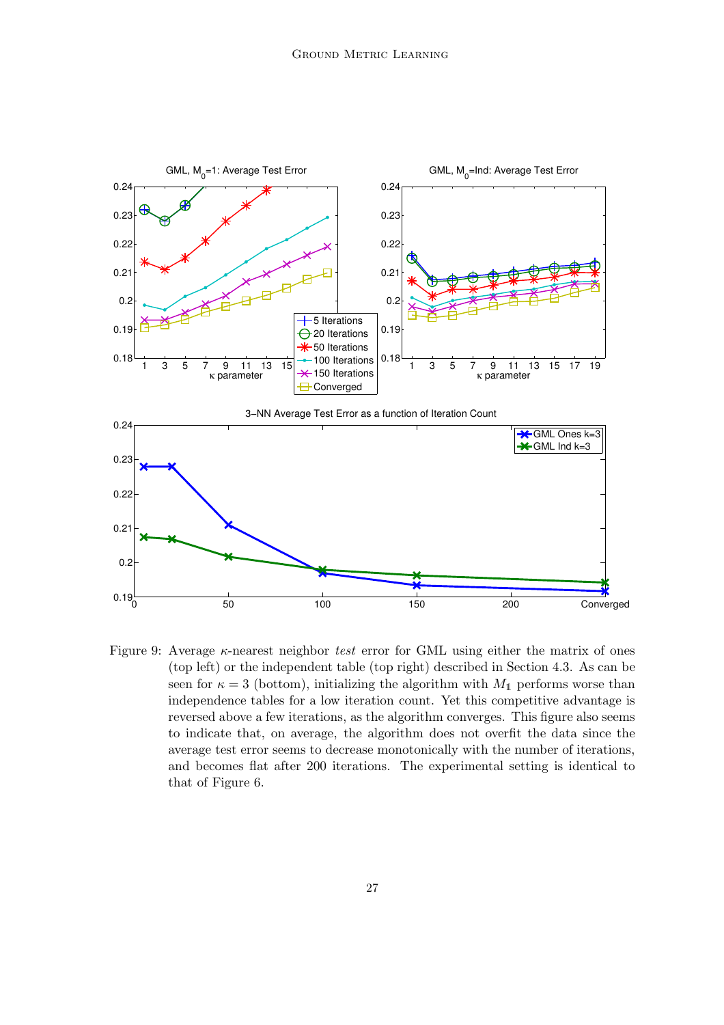

Figure 9: Average κ-nearest neighbor *test* error for GML using either the matrix of ones (top left) or the independent table (top right) described in Section 4.3. As can be seen for  $\kappa = 3$  (bottom), initializing the algorithm with  $M_1$  performs worse than independence tables for a low iteration count. Yet this competitive advantage is reversed above a few iterations, as the algorithm converges. This figure also seems to indicate that, on average, the algorithm does not overfit the data since the average test error seems to decrease monotonically with the number of iterations, and becomes flat after 200 iterations. The experimental setting is identical to that of Figure 6.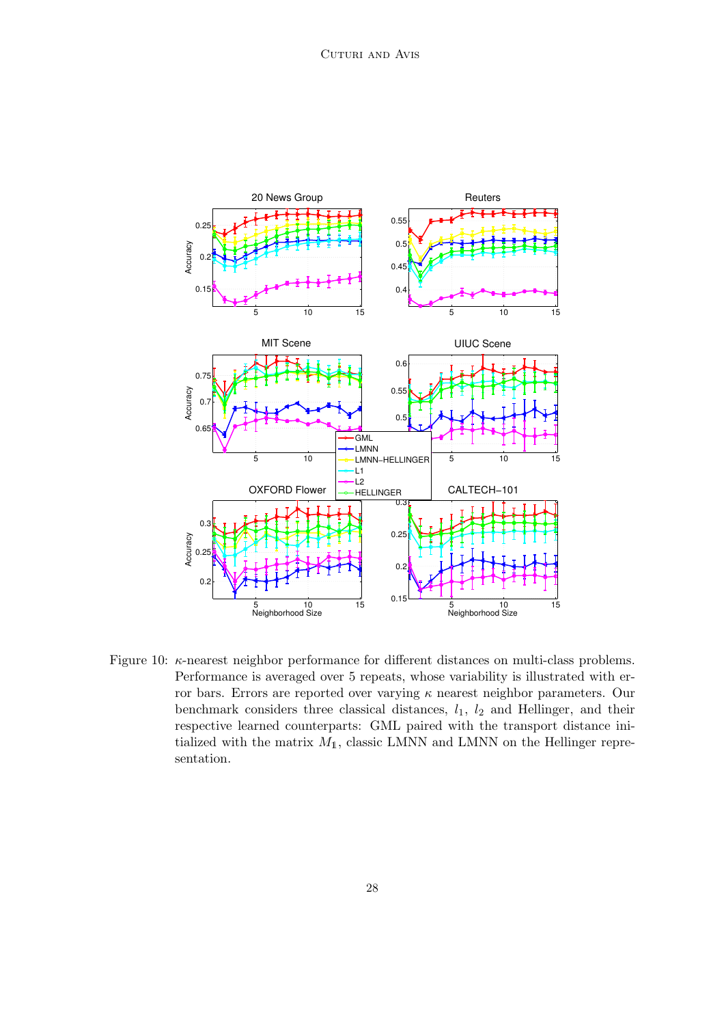

Figure 10: κ-nearest neighbor performance for different distances on multi-class problems. Performance is averaged over 5 repeats, whose variability is illustrated with error bars. Errors are reported over varying  $\kappa$  nearest neighbor parameters. Our benchmark considers three classical distances,  $l_1$ ,  $l_2$  and Hellinger, and their respective learned counterparts: GML paired with the transport distance initialized with the matrix  $M_1$ , classic LMNN and LMNN on the Hellinger representation.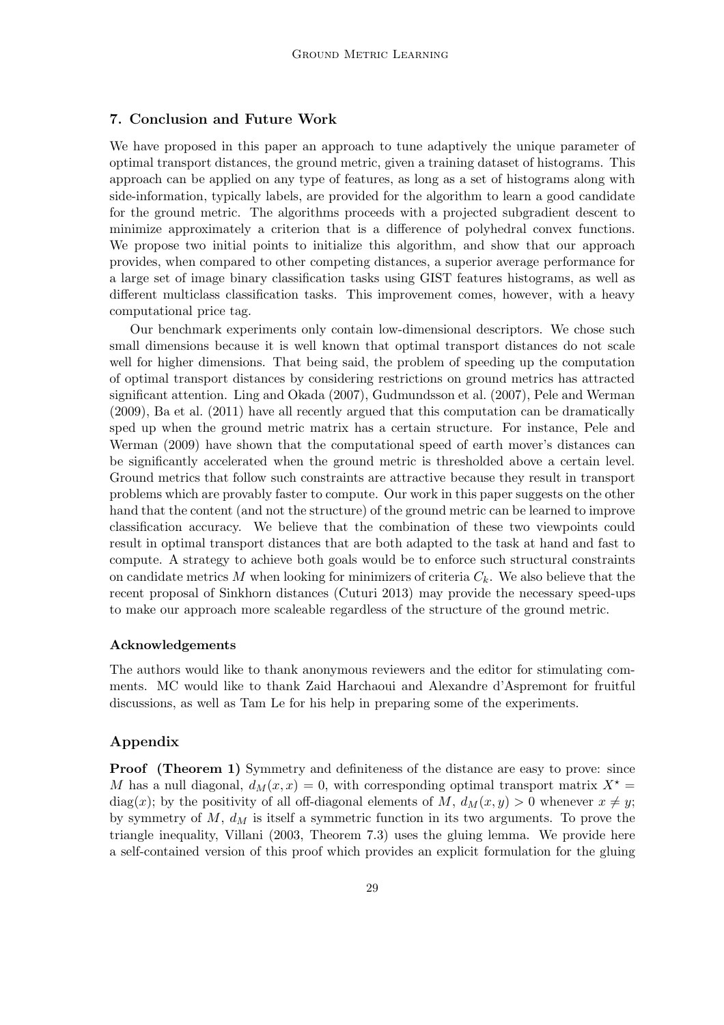## 7. Conclusion and Future Work

We have proposed in this paper an approach to tune adaptively the unique parameter of optimal transport distances, the ground metric, given a training dataset of histograms. This approach can be applied on any type of features, as long as a set of histograms along with side-information, typically labels, are provided for the algorithm to learn a good candidate for the ground metric. The algorithms proceeds with a projected subgradient descent to minimize approximately a criterion that is a difference of polyhedral convex functions. We propose two initial points to initialize this algorithm, and show that our approach provides, when compared to other competing distances, a superior average performance for a large set of image binary classification tasks using GIST features histograms, as well as different multiclass classification tasks. This improvement comes, however, with a heavy computational price tag.

Our benchmark experiments only contain low-dimensional descriptors. We chose such small dimensions because it is well known that optimal transport distances do not scale well for higher dimensions. That being said, the problem of speeding up the computation of optimal transport distances by considering restrictions on ground metrics has attracted significant attention. Ling and Okada (2007), Gudmundsson et al. (2007), Pele and Werman (2009), Ba et al. (2011) have all recently argued that this computation can be dramatically sped up when the ground metric matrix has a certain structure. For instance, Pele and Werman (2009) have shown that the computational speed of earth mover's distances can be significantly accelerated when the ground metric is thresholded above a certain level. Ground metrics that follow such constraints are attractive because they result in transport problems which are provably faster to compute. Our work in this paper suggests on the other hand that the content (and not the structure) of the ground metric can be learned to improve classification accuracy. We believe that the combination of these two viewpoints could result in optimal transport distances that are both adapted to the task at hand and fast to compute. A strategy to achieve both goals would be to enforce such structural constraints on candidate metrics  $M$  when looking for minimizers of criteria  $C_k$ . We also believe that the recent proposal of Sinkhorn distances (Cuturi 2013) may provide the necessary speed-ups to make our approach more scaleable regardless of the structure of the ground metric.

#### Acknowledgements

The authors would like to thank anonymous reviewers and the editor for stimulating comments. MC would like to thank Zaid Harchaoui and Alexandre d'Aspremont for fruitful discussions, as well as Tam Le for his help in preparing some of the experiments.

## Appendix

Proof (Theorem 1) Symmetry and definiteness of the distance are easy to prove: since M has a null diagonal,  $d_M(x, x) = 0$ , with corresponding optimal transport matrix  $X^* =$ diag(x); by the positivity of all off-diagonal elements of M,  $d_M(x, y) > 0$  whenever  $x \neq y$ ; by symmetry of  $M$ ,  $d_M$  is itself a symmetric function in its two arguments. To prove the triangle inequality, Villani (2003, Theorem 7.3) uses the gluing lemma. We provide here a self-contained version of this proof which provides an explicit formulation for the gluing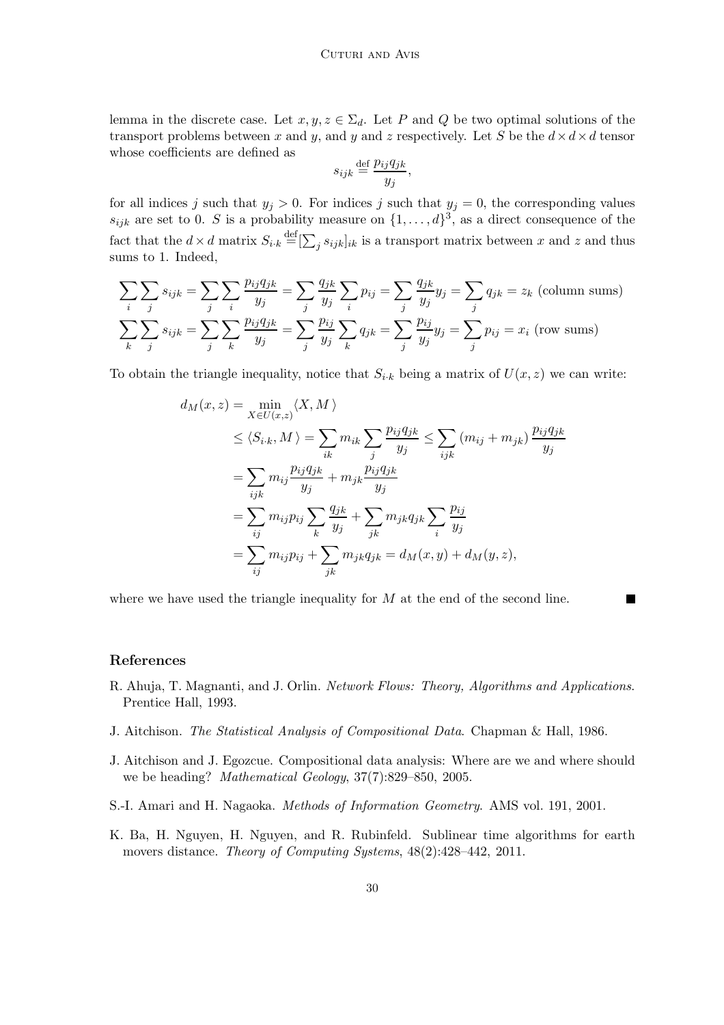lemma in the discrete case. Let  $x, y, z \in \Sigma_d$ . Let P and Q be two optimal solutions of the transport problems between x and y, and y and z respectively. Let S be the  $d \times d \times d$  tensor whose coefficients are defined as

$$
s_{ijk} \stackrel{\text{def}}{=} \frac{p_{ij}q_{jk}}{y_j},
$$

for all indices j such that  $y_j > 0$ . For indices j such that  $y_j = 0$ , the corresponding values  $s_{ijk}$  are set to 0. S is a probability measure on  $\{1, \ldots, d\}^3$ , as a direct consequence of the fact that the  $d \times d$  matrix  $S_{i,k} \stackrel{\text{def}}{=} [\sum_j s_{ijk}]_{ik}$  is a transport matrix between x and z and thus sums to 1. Indeed,

$$
\sum_{i} \sum_{j} s_{ijk} = \sum_{j} \sum_{i} \frac{p_{ij} q_{jk}}{y_j} = \sum_{j} \frac{q_{jk}}{y_j} \sum_{i} p_{ij} = \sum_{j} \frac{q_{jk}}{y_j} y_j = \sum_{j} q_{jk} = z_k \text{ (column sums)}
$$
  

$$
\sum_{k} \sum_{j} s_{ijk} = \sum_{j} \sum_{k} \frac{p_{ij} q_{jk}}{y_j} = \sum_{j} \frac{p_{ij}}{y_j} \sum_{k} q_{jk} = \sum_{j} \frac{p_{ij}}{y_j} y_j = \sum_{j} p_{ij} = x_i \text{ (row sums)}
$$

To obtain the triangle inequality, notice that  $S_{i,k}$  being a matrix of  $U(x, z)$  we can write:

$$
d_M(x, z) = \min_{X \in U(x, z)} \langle X, M \rangle
$$
  
\n
$$
\leq \langle S_{i \cdot k}, M \rangle = \sum_{ik} m_{ik} \sum_{j} \frac{p_{ij} q_{jk}}{y_j} \leq \sum_{ijk} (m_{ij} + m_{jk}) \frac{p_{ij} q_{jk}}{y_j}
$$
  
\n
$$
= \sum_{ijk} m_{ij} \frac{p_{ij} q_{jk}}{y_j} + m_{jk} \frac{p_{ij} q_{jk}}{y_j}
$$
  
\n
$$
= \sum_{ij} m_{ij} p_{ij} \sum_{k} \frac{q_{jk}}{y_j} + \sum_{jk} m_{jk} q_{jk} \sum_{i} \frac{p_{ij}}{y_j}
$$
  
\n
$$
= \sum_{ij} m_{ij} p_{ij} + \sum_{jk} m_{jk} q_{jk} = d_M(x, y) + d_M(y, z),
$$

 $\blacksquare$ 

where we have used the triangle inequality for  $M$  at the end of the second line.

## References

- R. Ahuja, T. Magnanti, and J. Orlin. *Network Flows: Theory, Algorithms and Applications*. Prentice Hall, 1993.
- J. Aitchison. *The Statistical Analysis of Compositional Data*. Chapman & Hall, 1986.
- J. Aitchison and J. Egozcue. Compositional data analysis: Where are we and where should we be heading? *Mathematical Geology*, 37(7):829–850, 2005.
- S.-I. Amari and H. Nagaoka. *Methods of Information Geometry*. AMS vol. 191, 2001.
- K. Ba, H. Nguyen, H. Nguyen, and R. Rubinfeld. Sublinear time algorithms for earth movers distance. *Theory of Computing Systems*, 48(2):428–442, 2011.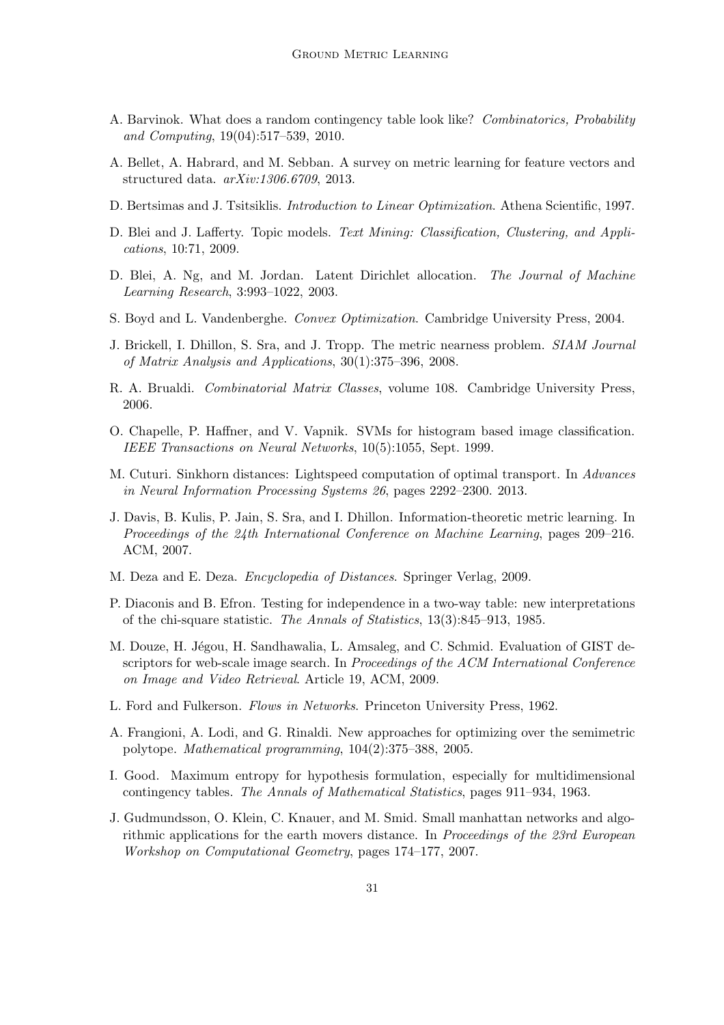- A. Barvinok. What does a random contingency table look like? *Combinatorics, Probability and Computing*, 19(04):517–539, 2010.
- A. Bellet, A. Habrard, and M. Sebban. A survey on metric learning for feature vectors and structured data. *arXiv:1306.6709*, 2013.
- D. Bertsimas and J. Tsitsiklis. *Introduction to Linear Optimization*. Athena Scientific, 1997.
- D. Blei and J. Lafferty. Topic models. *Text Mining: Classification, Clustering, and Applications*, 10:71, 2009.
- D. Blei, A. Ng, and M. Jordan. Latent Dirichlet allocation. *The Journal of Machine Learning Research*, 3:993–1022, 2003.
- S. Boyd and L. Vandenberghe. *Convex Optimization*. Cambridge University Press, 2004.
- J. Brickell, I. Dhillon, S. Sra, and J. Tropp. The metric nearness problem. *SIAM Journal of Matrix Analysis and Applications*, 30(1):375–396, 2008.
- R. A. Brualdi. *Combinatorial Matrix Classes*, volume 108. Cambridge University Press, 2006.
- O. Chapelle, P. Haffner, and V. Vapnik. SVMs for histogram based image classification. *IEEE Transactions on Neural Networks*, 10(5):1055, Sept. 1999.
- M. Cuturi. Sinkhorn distances: Lightspeed computation of optimal transport. In *Advances in Neural Information Processing Systems 26*, pages 2292–2300. 2013.
- J. Davis, B. Kulis, P. Jain, S. Sra, and I. Dhillon. Information-theoretic metric learning. In *Proceedings of the 24th International Conference on Machine Learning*, pages 209–216. ACM, 2007.
- M. Deza and E. Deza. *Encyclopedia of Distances*. Springer Verlag, 2009.
- P. Diaconis and B. Efron. Testing for independence in a two-way table: new interpretations of the chi-square statistic. *The Annals of Statistics*, 13(3):845–913, 1985.
- M. Douze, H. Jégou, H. Sandhawalia, L. Amsaleg, and C. Schmid. Evaluation of GIST descriptors for web-scale image search. In *Proceedings of the ACM International Conference on Image and Video Retrieval*. Article 19, ACM, 2009.
- L. Ford and Fulkerson. *Flows in Networks*. Princeton University Press, 1962.
- A. Frangioni, A. Lodi, and G. Rinaldi. New approaches for optimizing over the semimetric polytope. *Mathematical programming*, 104(2):375–388, 2005.
- I. Good. Maximum entropy for hypothesis formulation, especially for multidimensional contingency tables. *The Annals of Mathematical Statistics*, pages 911–934, 1963.
- J. Gudmundsson, O. Klein, C. Knauer, and M. Smid. Small manhattan networks and algorithmic applications for the earth movers distance. In *Proceedings of the 23rd European Workshop on Computational Geometry*, pages 174–177, 2007.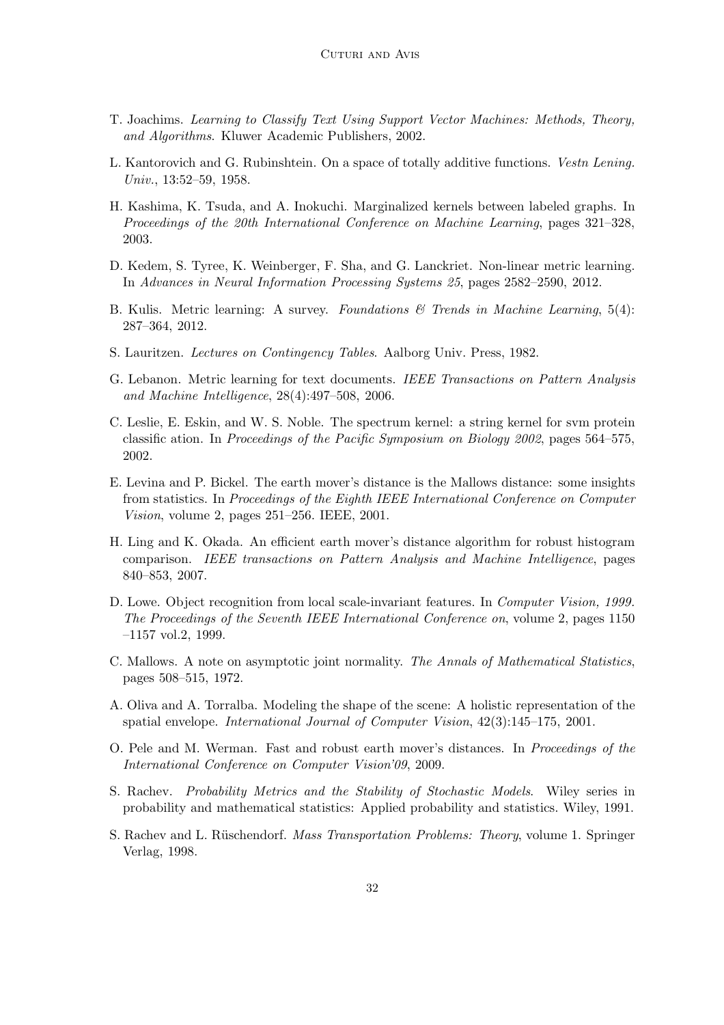- T. Joachims. *Learning to Classify Text Using Support Vector Machines: Methods, Theory, and Algorithms*. Kluwer Academic Publishers, 2002.
- L. Kantorovich and G. Rubinshtein. On a space of totally additive functions. *Vestn Lening. Univ.*, 13:52–59, 1958.
- H. Kashima, K. Tsuda, and A. Inokuchi. Marginalized kernels between labeled graphs. In *Proceedings of the 20th International Conference on Machine Learning*, pages 321–328, 2003.
- D. Kedem, S. Tyree, K. Weinberger, F. Sha, and G. Lanckriet. Non-linear metric learning. In *Advances in Neural Information Processing Systems 25*, pages 2582–2590, 2012.
- B. Kulis. Metric learning: A survey. *Foundations & Trends in Machine Learning*, 5(4): 287–364, 2012.
- S. Lauritzen. *Lectures on Contingency Tables*. Aalborg Univ. Press, 1982.
- G. Lebanon. Metric learning for text documents. *IEEE Transactions on Pattern Analysis and Machine Intelligence*, 28(4):497–508, 2006.
- C. Leslie, E. Eskin, and W. S. Noble. The spectrum kernel: a string kernel for svm protein classific ation. In *Proceedings of the Pacific Symposium on Biology 2002*, pages 564–575, 2002.
- E. Levina and P. Bickel. The earth mover's distance is the Mallows distance: some insights from statistics. In *Proceedings of the Eighth IEEE International Conference on Computer Vision*, volume 2, pages 251–256. IEEE, 2001.
- H. Ling and K. Okada. An efficient earth mover's distance algorithm for robust histogram comparison. *IEEE transactions on Pattern Analysis and Machine Intelligence*, pages 840–853, 2007.
- D. Lowe. Object recognition from local scale-invariant features. In *Computer Vision, 1999. The Proceedings of the Seventh IEEE International Conference on*, volume 2, pages 1150 –1157 vol.2, 1999.
- C. Mallows. A note on asymptotic joint normality. *The Annals of Mathematical Statistics*, pages 508–515, 1972.
- A. Oliva and A. Torralba. Modeling the shape of the scene: A holistic representation of the spatial envelope. *International Journal of Computer Vision*, 42(3):145–175, 2001.
- O. Pele and M. Werman. Fast and robust earth mover's distances. In *Proceedings of the International Conference on Computer Vision'09*, 2009.
- S. Rachev. *Probability Metrics and the Stability of Stochastic Models*. Wiley series in probability and mathematical statistics: Applied probability and statistics. Wiley, 1991.
- S. Rachev and L. R¨uschendorf. *Mass Transportation Problems: Theory*, volume 1. Springer Verlag, 1998.